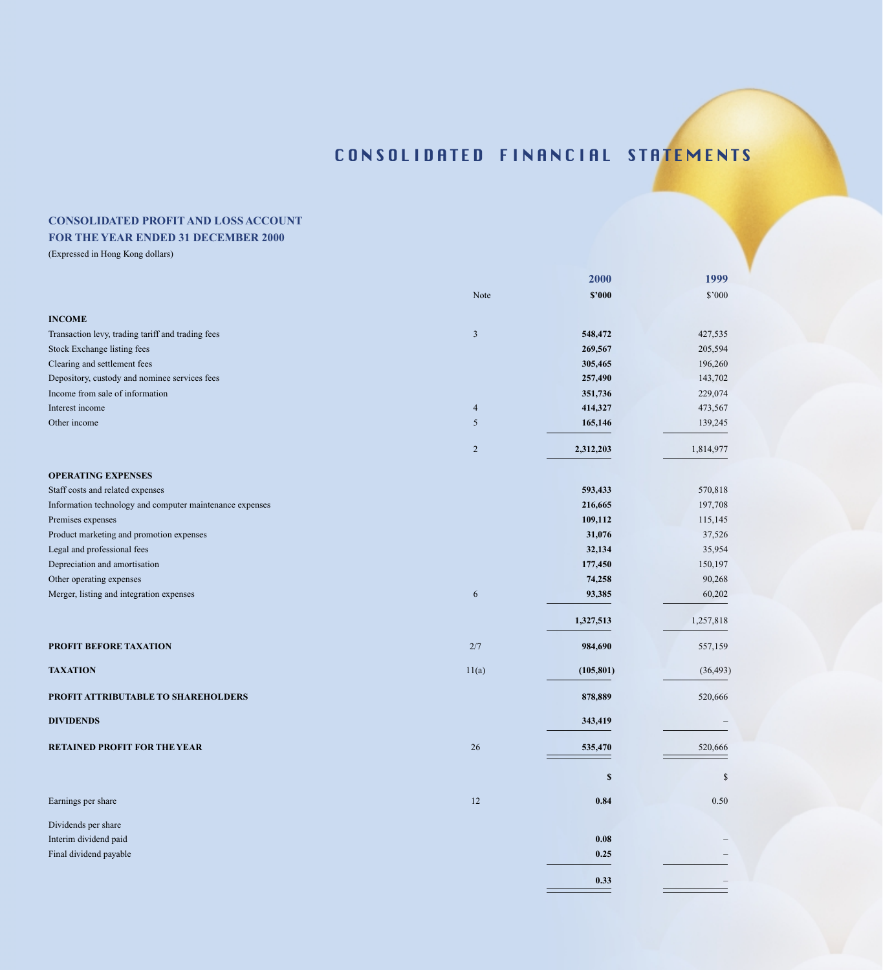## **CONSOLIDATED PROFIT AND LOSS ACCOUNT**

## **FOR THE YEAR ENDED 31 DECEMBER 2000**

|                                                          |                  | 2000                      | 1999      |
|----------------------------------------------------------|------------------|---------------------------|-----------|
|                                                          | Note             | \$2000                    | \$'000    |
| <b>INCOME</b>                                            |                  |                           |           |
| Transaction levy, trading tariff and trading fees        | $\mathfrak{Z}$   | 548,472                   | 427,535   |
| Stock Exchange listing fees                              |                  | 269,567                   | 205,594   |
| Clearing and settlement fees                             |                  | 305,465                   | 196,260   |
| Depository, custody and nominee services fees            |                  | 257,490                   | 143,702   |
| Income from sale of information                          |                  | 351,736                   | 229,074   |
| Interest income                                          | $\overline{4}$   | 414,327                   | 473,567   |
| Other income                                             | 5                | 165,146                   | 139,245   |
|                                                          | $\overline{2}$   | 2,312,203                 | 1,814,977 |
| <b>OPERATING EXPENSES</b>                                |                  |                           |           |
| Staff costs and related expenses                         |                  | 593,433                   | 570,818   |
| Information technology and computer maintenance expenses |                  | 216,665                   | 197,708   |
| Premises expenses                                        |                  | 109,112                   | 115,145   |
| Product marketing and promotion expenses                 |                  | 31,076                    | 37,526    |
| Legal and professional fees                              |                  | 32,134                    | 35,954    |
| Depreciation and amortisation                            |                  | 177,450                   | 150,197   |
| Other operating expenses                                 |                  | 74,258                    | 90,268    |
| Merger, listing and integration expenses                 | $\boldsymbol{6}$ | 93,385                    | 60,202    |
|                                                          |                  | 1,327,513                 | 1,257,818 |
| PROFIT BEFORE TAXATION                                   | 2/7              | 984,690                   | 557,159   |
| <b>TAXATION</b>                                          | 11(a)            | (105, 801)                | (36, 493) |
| PROFIT ATTRIBUTABLE TO SHAREHOLDERS                      |                  | 878,889                   | 520,666   |
| <b>DIVIDENDS</b>                                         |                  | 343,419                   |           |
| <b>RETAINED PROFIT FOR THE YEAR</b>                      | 26               | 535,470                   | 520,666   |
|                                                          |                  | $\boldsymbol{\mathsf{s}}$ | \$        |
| Earnings per share                                       | $12\,$           | 0.84                      | $0.50\,$  |
| Dividends per share                                      |                  |                           |           |
| Interim dividend paid                                    |                  | 0.08                      |           |
| Final dividend payable                                   |                  | 0.25                      |           |
|                                                          |                  | 0.33                      |           |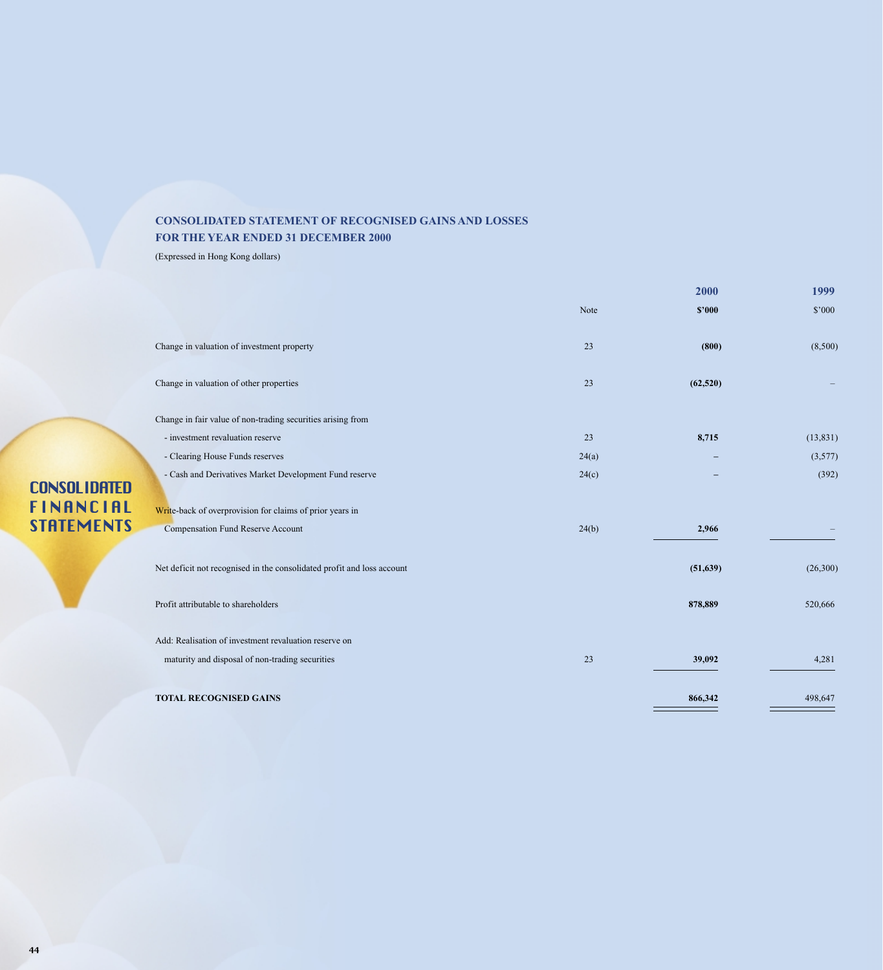## **CONSOLIDATED STATEMENT OF RECOGNISED GAINS AND LOSSES FOR THE YEAR ENDED 31 DECEMBER 2000**

(Expressed in Hong Kong dollars)

| Note<br>\$2000<br>Change in valuation of investment property<br>23<br>(800)<br>Change in valuation of other properties<br>(62, 520)<br>23<br>Change in fair value of non-trading securities arising from<br>- investment revaluation reserve<br>8,715<br>23<br>- Clearing House Funds reserves<br>24(a)<br>- Cash and Derivatives Market Development Fund reserve<br>24(c)<br>Write-back of overprovision for claims of prior years in<br><b>Compensation Fund Reserve Account</b><br>24(b)<br>2,966<br>Net deficit not recognised in the consolidated profit and loss account<br>(51, 639)<br>Profit attributable to shareholders<br>878,889<br>Add: Realisation of investment revaluation reserve on<br>23<br>maturity and disposal of non-trading securities<br>39,092<br><b>TOTAL RECOGNISED GAINS</b><br>866,342 |  | 2000 | 1999      |
|-----------------------------------------------------------------------------------------------------------------------------------------------------------------------------------------------------------------------------------------------------------------------------------------------------------------------------------------------------------------------------------------------------------------------------------------------------------------------------------------------------------------------------------------------------------------------------------------------------------------------------------------------------------------------------------------------------------------------------------------------------------------------------------------------------------------------|--|------|-----------|
|                                                                                                                                                                                                                                                                                                                                                                                                                                                                                                                                                                                                                                                                                                                                                                                                                       |  |      | \$'000    |
|                                                                                                                                                                                                                                                                                                                                                                                                                                                                                                                                                                                                                                                                                                                                                                                                                       |  |      | (8,500)   |
|                                                                                                                                                                                                                                                                                                                                                                                                                                                                                                                                                                                                                                                                                                                                                                                                                       |  |      |           |
|                                                                                                                                                                                                                                                                                                                                                                                                                                                                                                                                                                                                                                                                                                                                                                                                                       |  |      |           |
|                                                                                                                                                                                                                                                                                                                                                                                                                                                                                                                                                                                                                                                                                                                                                                                                                       |  |      | (13, 831) |
|                                                                                                                                                                                                                                                                                                                                                                                                                                                                                                                                                                                                                                                                                                                                                                                                                       |  |      | (3,577)   |
|                                                                                                                                                                                                                                                                                                                                                                                                                                                                                                                                                                                                                                                                                                                                                                                                                       |  |      | (392)     |
|                                                                                                                                                                                                                                                                                                                                                                                                                                                                                                                                                                                                                                                                                                                                                                                                                       |  |      |           |
|                                                                                                                                                                                                                                                                                                                                                                                                                                                                                                                                                                                                                                                                                                                                                                                                                       |  |      |           |
|                                                                                                                                                                                                                                                                                                                                                                                                                                                                                                                                                                                                                                                                                                                                                                                                                       |  |      | (26,300)  |
|                                                                                                                                                                                                                                                                                                                                                                                                                                                                                                                                                                                                                                                                                                                                                                                                                       |  |      | 520,666   |
|                                                                                                                                                                                                                                                                                                                                                                                                                                                                                                                                                                                                                                                                                                                                                                                                                       |  |      |           |
|                                                                                                                                                                                                                                                                                                                                                                                                                                                                                                                                                                                                                                                                                                                                                                                                                       |  |      | 4,281     |
|                                                                                                                                                                                                                                                                                                                                                                                                                                                                                                                                                                                                                                                                                                                                                                                                                       |  |      | 498,647   |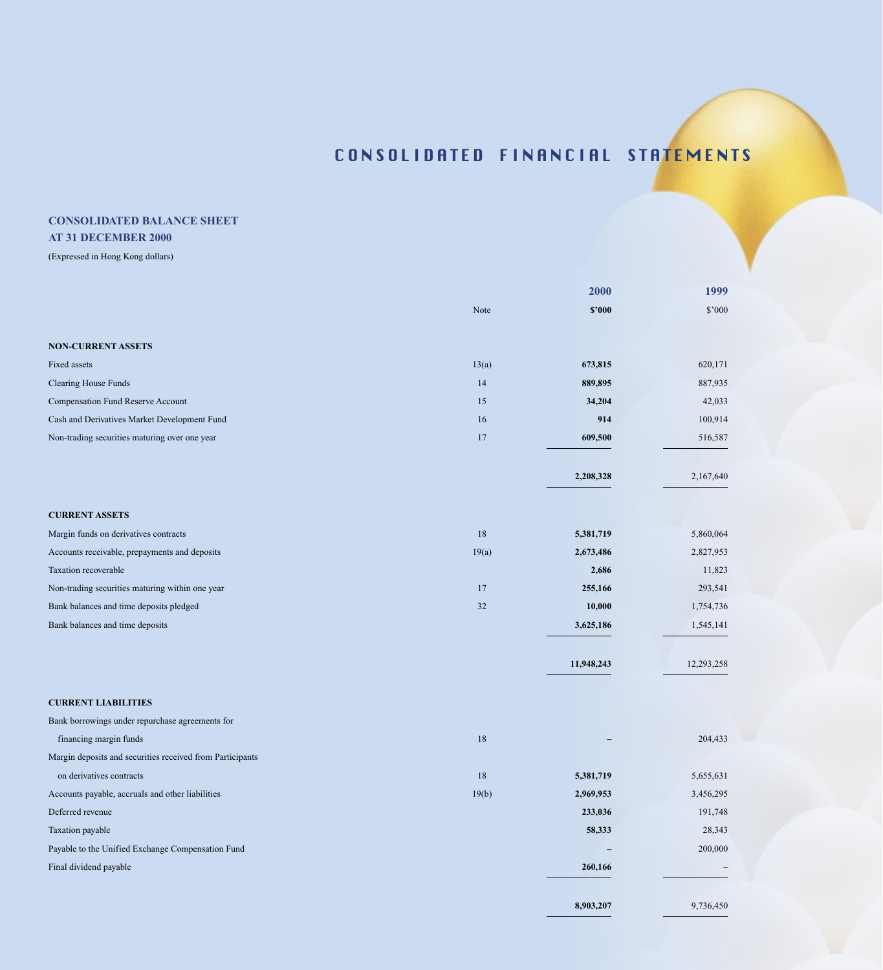# **CONSOLIDATED BALANCE SHEET**

## **AT 31 DECEMBER 2000**

|                                                           |        | 2000       | 1999       |
|-----------------------------------------------------------|--------|------------|------------|
|                                                           | Note   | \$2000     | \$'000     |
|                                                           |        |            |            |
| <b>NON-CURRENT ASSETS</b>                                 |        |            |            |
| Fixed assets                                              | 13(a)  | 673,815    | 620,171    |
| <b>Clearing House Funds</b>                               | 14     | 889,895    | 887,935    |
| Compensation Fund Reserve Account                         | 15     | 34,204     | 42,033     |
| Cash and Derivatives Market Development Fund              | 16     | 914        | 100,914    |
| Non-trading securities maturing over one year             | 17     | 609,500    | 516,587    |
|                                                           |        | 2,208,328  | 2,167,640  |
| <b>CURRENT ASSETS</b>                                     |        |            |            |
| Margin funds on derivatives contracts                     | 18     | 5,381,719  | 5,860,064  |
| Accounts receivable, prepayments and deposits             | 19(a)  | 2,673,486  | 2,827,953  |
| Taxation recoverable                                      |        | 2,686      | 11,823     |
| Non-trading securities maturing within one year           | 17     | 255,166    | 293,541    |
| Bank balances and time deposits pledged                   | 32     | 10,000     | 1,754,736  |
| Bank balances and time deposits                           |        | 3,625,186  | 1,545,141  |
|                                                           |        | 11,948,243 | 12,293,258 |
| <b>CURRENT LIABILITIES</b>                                |        |            |            |
| Bank borrowings under repurchase agreements for           |        |            |            |
| financing margin funds                                    | $18\,$ |            | 204,433    |
| Margin deposits and securities received from Participants |        |            |            |
| on derivatives contracts                                  | 18     | 5,381,719  | 5,655,631  |
| Accounts payable, accruals and other liabilities          | 19(b)  | 2,969,953  | 3,456,295  |
| Deferred revenue                                          |        | 233,036    | 191,748    |
| Taxation payable                                          |        | 58,333     | 28,343     |
| Payable to the Unified Exchange Compensation Fund         |        |            | 200,000    |
| Final dividend payable                                    |        | 260,166    |            |
|                                                           |        | 8,903,207  | 9,736,450  |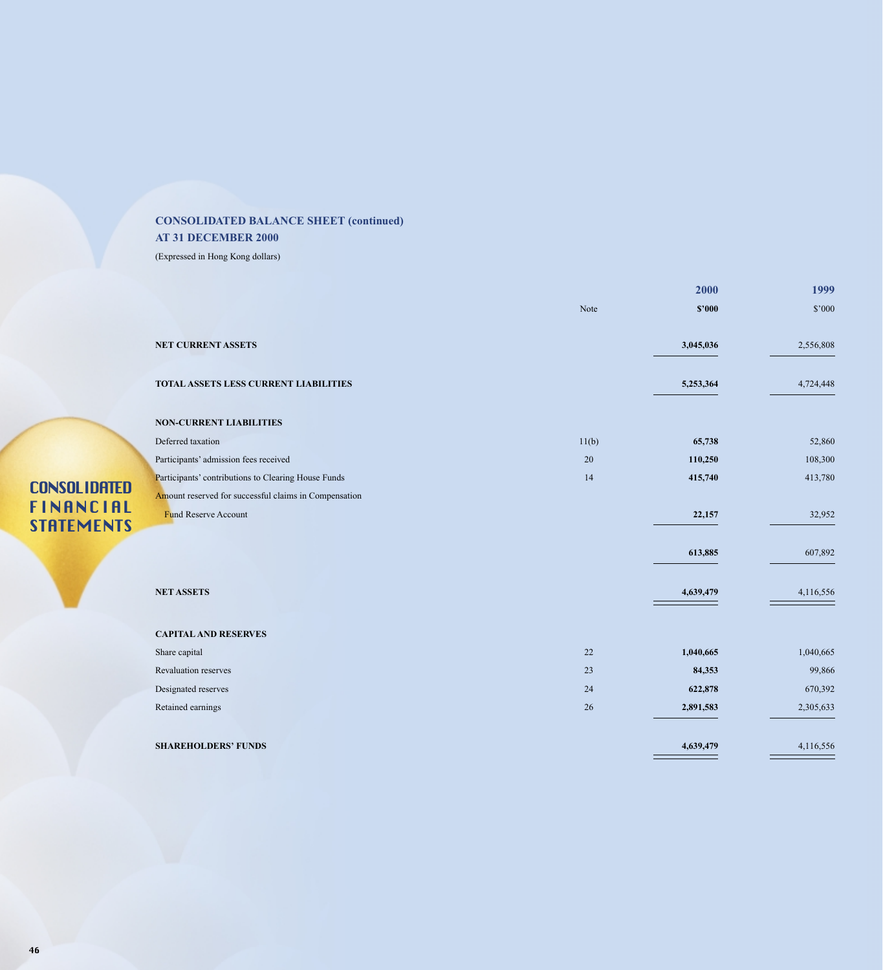## **CONSOLIDATED BALANCE SHEET (continued) AT 31 DECEMBER 2000**

|                                       |                                                                                      |       | 2000      | 1999      |
|---------------------------------------|--------------------------------------------------------------------------------------|-------|-----------|-----------|
|                                       |                                                                                      | Note  | \$2000    | \$'000    |
|                                       | NET CURRENT ASSETS                                                                   |       | 3,045,036 | 2,556,808 |
|                                       | TOTAL ASSETS LESS CURRENT LIABILITIES                                                |       | 5,253,364 | 4,724,448 |
|                                       | <b>NON-CURRENT LIABILITIES</b>                                                       |       |           |           |
|                                       | Deferred taxation                                                                    | 11(b) | 65,738    | 52,860    |
|                                       | Participants' admission fees received                                                | 20    | 110,250   | 108,300   |
| <b>CONSOLIDATED</b>                   | Participants' contributions to Clearing House Funds                                  | 14    | 415,740   | 413,780   |
| <b>FINANCIAL</b><br><b>STATEMENTS</b> | Amount reserved for successful claims in Compensation<br><b>Fund Reserve Account</b> |       | 22,157    | 32,952    |
|                                       |                                                                                      |       | 613,885   | 607,892   |
|                                       | <b>NET ASSETS</b>                                                                    |       | 4,639,479 | 4,116,556 |
|                                       | <b>CAPITAL AND RESERVES</b>                                                          |       |           |           |
|                                       | Share capital                                                                        | 22    | 1,040,665 | 1,040,665 |
|                                       | <b>Revaluation reserves</b>                                                          | 23    | 84,353    | 99,866    |
|                                       | Designated reserves                                                                  | 24    | 622,878   | 670,392   |
|                                       | Retained earnings                                                                    | 26    | 2,891,583 | 2,305,633 |
|                                       | <b>SHAREHOLDERS' FUNDS</b>                                                           |       | 4,639,479 | 4,116,556 |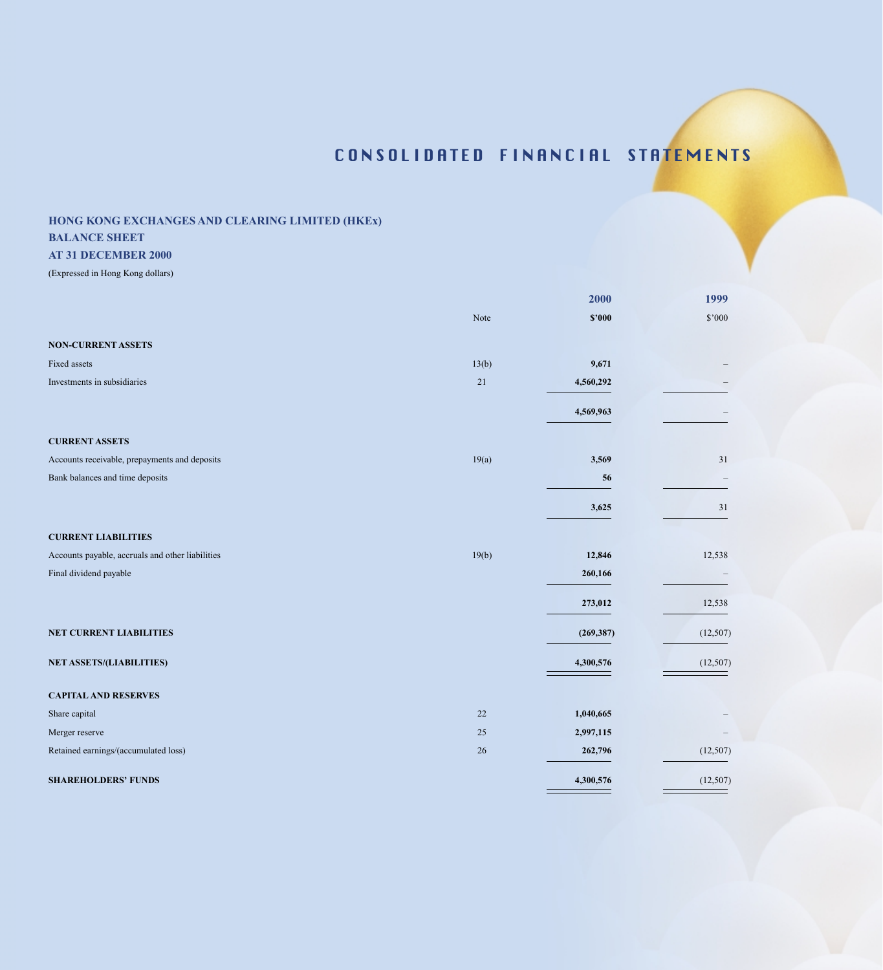## **HONG KONG EXCHANGES AND CLEARING LIMITED (HKEx)**

## **BALANCE SHEET**

### **AT 31 DECEMBER 2000**

|                                                  |       | 2000       | 1999      |
|--------------------------------------------------|-------|------------|-----------|
|                                                  | Note  | \$2000     | \$'000    |
| <b>NON-CURRENT ASSETS</b>                        |       |            |           |
| Fixed assets                                     | 13(b) | 9,671      |           |
| Investments in subsidiaries                      | 21    | 4,560,292  |           |
|                                                  |       | 4,569,963  |           |
| <b>CURRENT ASSETS</b>                            |       |            |           |
| Accounts receivable, prepayments and deposits    | 19(a) | 3,569      | 31        |
| Bank balances and time deposits                  |       | 56         |           |
|                                                  |       | 3,625      | 31        |
| <b>CURRENT LIABILITIES</b>                       |       |            |           |
| Accounts payable, accruals and other liabilities | 19(b) | 12,846     | 12,538    |
| Final dividend payable                           |       | 260,166    |           |
|                                                  |       | 273,012    | 12,538    |
| NET CURRENT LIABILITIES                          |       | (269, 387) | (12, 507) |
| <b>NET ASSETS/(LIABILITIES)</b>                  |       | 4,300,576  | (12, 507) |
| <b>CAPITAL AND RESERVES</b>                      |       |            |           |
| Share capital                                    | 22    | 1,040,665  |           |
| Merger reserve                                   | 25    | 2,997,115  |           |
| Retained earnings/(accumulated loss)             | 26    | 262,796    | (12, 507) |
| <b>SHAREHOLDERS' FUNDS</b>                       |       | 4,300,576  | (12, 507) |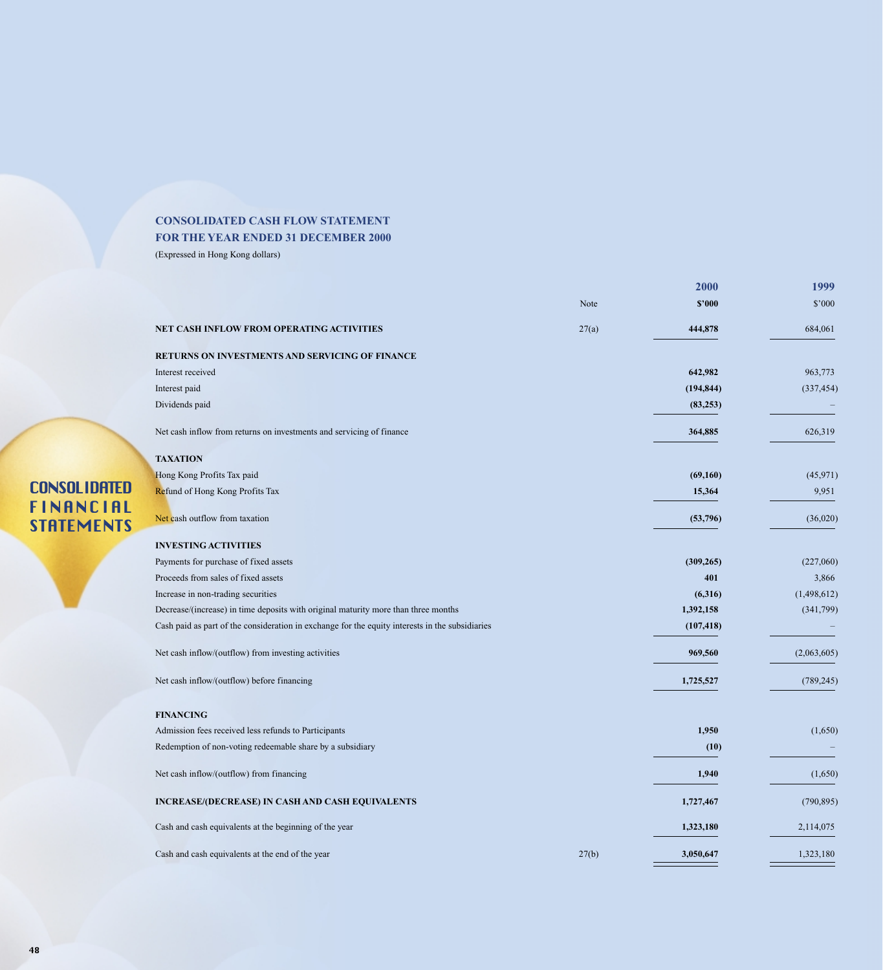## **CONSOLIDATED CASH FLOW STATEMENT FOR THE YEAR ENDED 31 DECEMBER 2000**

(Expressed in Hong Kong dollars)

|                                                                                                 |       | 2000       | 1999        |
|-------------------------------------------------------------------------------------------------|-------|------------|-------------|
|                                                                                                 | Note  | \$2000     | \$'000      |
| NET CASH INFLOW FROM OPERATING ACTIVITIES                                                       | 27(a) | 444,878    | 684,061     |
| RETURNS ON INVESTMENTS AND SERVICING OF FINANCE                                                 |       |            |             |
| Interest received                                                                               |       | 642,982    | 963,773     |
| Interest paid                                                                                   |       | (194, 844) | (337, 454)  |
| Dividends paid                                                                                  |       | (83, 253)  |             |
| Net cash inflow from returns on investments and servicing of finance                            |       | 364,885    | 626,319     |
| <b>TAXATION</b>                                                                                 |       |            |             |
| Hong Kong Profits Tax paid                                                                      |       | (69, 160)  | (45, 971)   |
| Refund of Hong Kong Profits Tax                                                                 |       | 15,364     | 9,951       |
| Net cash outflow from taxation                                                                  |       | (53,796)   | (36,020)    |
| <b>INVESTING ACTIVITIES</b>                                                                     |       |            |             |
| Payments for purchase of fixed assets                                                           |       | (309, 265) | (227,060)   |
| Proceeds from sales of fixed assets                                                             |       | 401        | 3,866       |
| Increase in non-trading securities                                                              |       | (6,316)    | (1,498,612) |
| Decrease/(increase) in time deposits with original maturity more than three months              |       | 1,392,158  | (341,799)   |
| Cash paid as part of the consideration in exchange for the equity interests in the subsidiaries |       | (107, 418) |             |
| Net cash inflow/(outflow) from investing activities                                             |       | 969,560    | (2,063,605) |
| Net cash inflow/(outflow) before financing                                                      |       | 1,725,527  | (789, 245)  |
| <b>FINANCING</b>                                                                                |       |            |             |
| Admission fees received less refunds to Participants                                            |       | 1,950      | (1,650)     |
| Redemption of non-voting redeemable share by a subsidiary                                       |       | (10)       |             |
| Net cash inflow/(outflow) from financing                                                        |       | 1,940      | (1,650)     |
| <b>INCREASE/(DECREASE) IN CASH AND CASH EQUIVALENTS</b>                                         |       | 1,727,467  | (790, 895)  |
| Cash and cash equivalents at the beginning of the year                                          |       | 1,323,180  | 2,114,075   |
| Cash and cash equivalents at the end of the year                                                | 27(b) | 3,050,647  | 1,323,180   |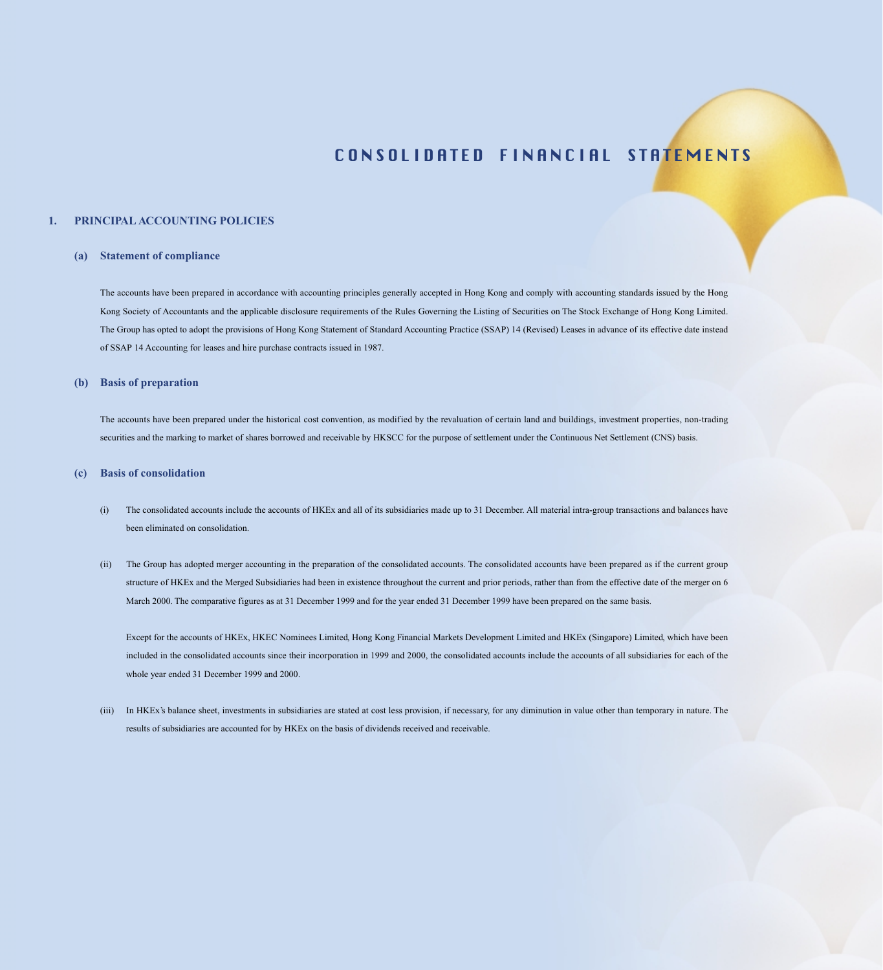#### **1. PRINCIPAL ACCOUNTING POLICIES**

#### **(a) Statement of compliance**

The accounts have been prepared in accordance with accounting principles generally accepted in Hong Kong and comply with accounting standards issued by the Hong Kong Society of Accountants and the applicable disclosure requirements of the Rules Governing the Listing of Securities on The Stock Exchange of Hong Kong Limited. The Group has opted to adopt the provisions of Hong Kong Statement of Standard Accounting Practice (SSAP) 14 (Revised) Leases in advance of its effective date instead of SSAP 14 Accounting for leases and hire purchase contracts issued in 1987.

#### **(b) Basis of preparation**

The accounts have been prepared under the historical cost convention, as modified by the revaluation of certain land and buildings, investment properties, non-trading securities and the marking to market of shares borrowed and receivable by HKSCC for the purpose of settlement under the Continuous Net Settlement (CNS) basis.

#### **(c) Basis of consolidation**

- (i) The consolidated accounts include the accounts of HKEx and all of its subsidiaries made up to 31 December. All material intra-group transactions and balances have been eliminated on consolidation.
- (ii) The Group has adopted merger accounting in the preparation of the consolidated accounts. The consolidated accounts have been prepared as if the current group structure of HKEx and the Merged Subsidiaries had been in existence throughout the current and prior periods, rather than from the effective date of the merger on 6 March 2000. The comparative figures as at 31 December 1999 and for the year ended 31 December 1999 have been prepared on the same basis.

Except for the accounts of HKEx, HKEC Nominees Limited, Hong Kong Financial Markets Development Limited and HKEx (Singapore) Limited, which have been included in the consolidated accounts since their incorporation in 1999 and 2000, the consolidated accounts include the accounts of all subsidiaries for each of the whole year ended 31 December 1999 and 2000.

(iii) In HKEx's balance sheet, investments in subsidiaries are stated at cost less provision, if necessary, for any diminution in value other than temporary in nature. The results of subsidiaries are accounted for by HKEx on the basis of dividends received and receivable.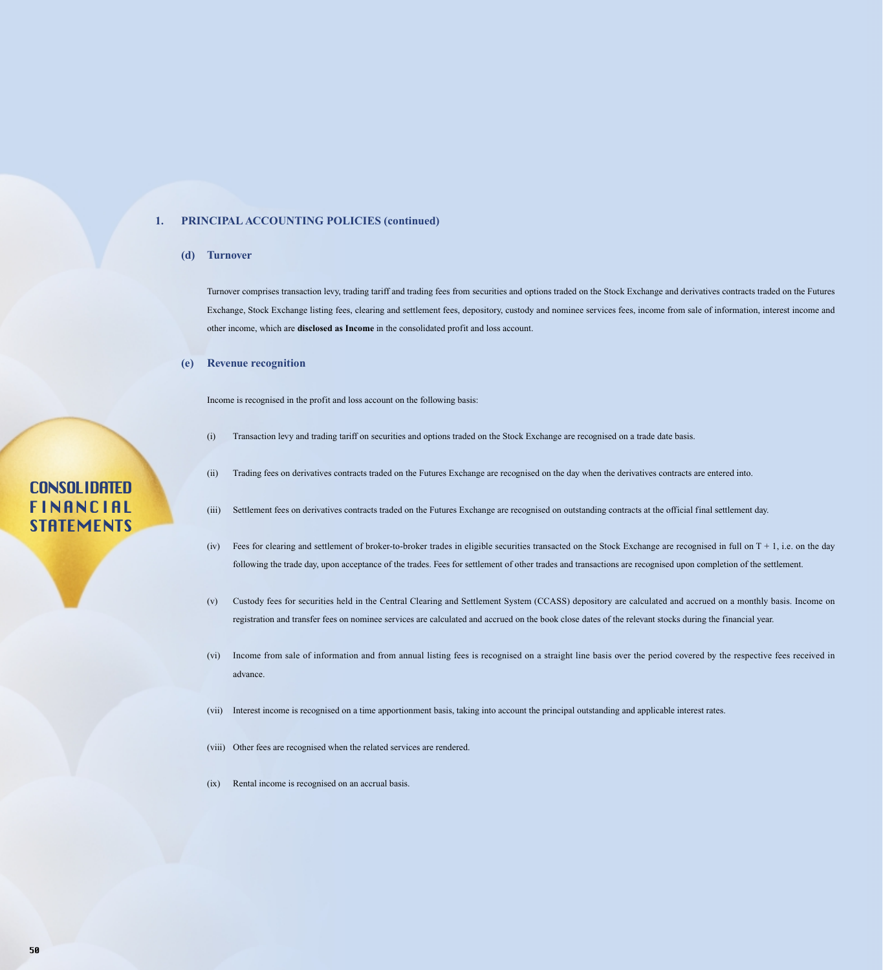#### **1. PRINCIPAL ACCOUNTING POLICIES (continued)**

#### **(d) Turnover**

Turnover comprises transaction levy, trading tariff and trading fees from securities and options traded on the Stock Exchange and derivatives contracts traded on the Futures Exchange, Stock Exchange listing fees, clearing and settlement fees, depository, custody and nominee services fees, income from sale of information, interest income and other income, which are **disclosed as Income** in the consolidated profit and loss account.

#### **(e) Revenue recognition**

Income is recognised in the profit and loss account on the following basis:

- (i) Transaction levy and trading tariff on securities and options traded on the Stock Exchange are recognised on a trade date basis.
- (ii) Trading fees on derivatives contracts traded on the Futures Exchange are recognised on the day when the derivatives contracts are entered into.

#### (iii) Settlement fees on derivatives contracts traded on the Futures Exchange are recognised on outstanding contracts at the official final settlement day.

- (iv) Fees for clearing and settlement of broker-to-broker trades in eligible securities transacted on the Stock Exchange are recognised in full on  $T + 1$ , i.e. on the day following the trade day, upon acceptance of the trades. Fees for settlement of other trades and transactions are recognised upon completion of the settlement.
- (v) Custody fees for securities held in the Central Clearing and Settlement System (CCASS) depository are calculated and accrued on a monthly basis. Income on registration and transfer fees on nominee services are calculated and accrued on the book close dates of the relevant stocks during the financial year.
- (vi) Income from sale of information and from annual listing fees is recognised on a straight line basis over the period covered by the respective fees received in advance.
- (vii) Interest income is recognised on a time apportionment basis, taking into account the principal outstanding and applicable interest rates.
- (viii) Other fees are recognised when the related services are rendered.
- (ix) Rental income is recognised on an accrual basis.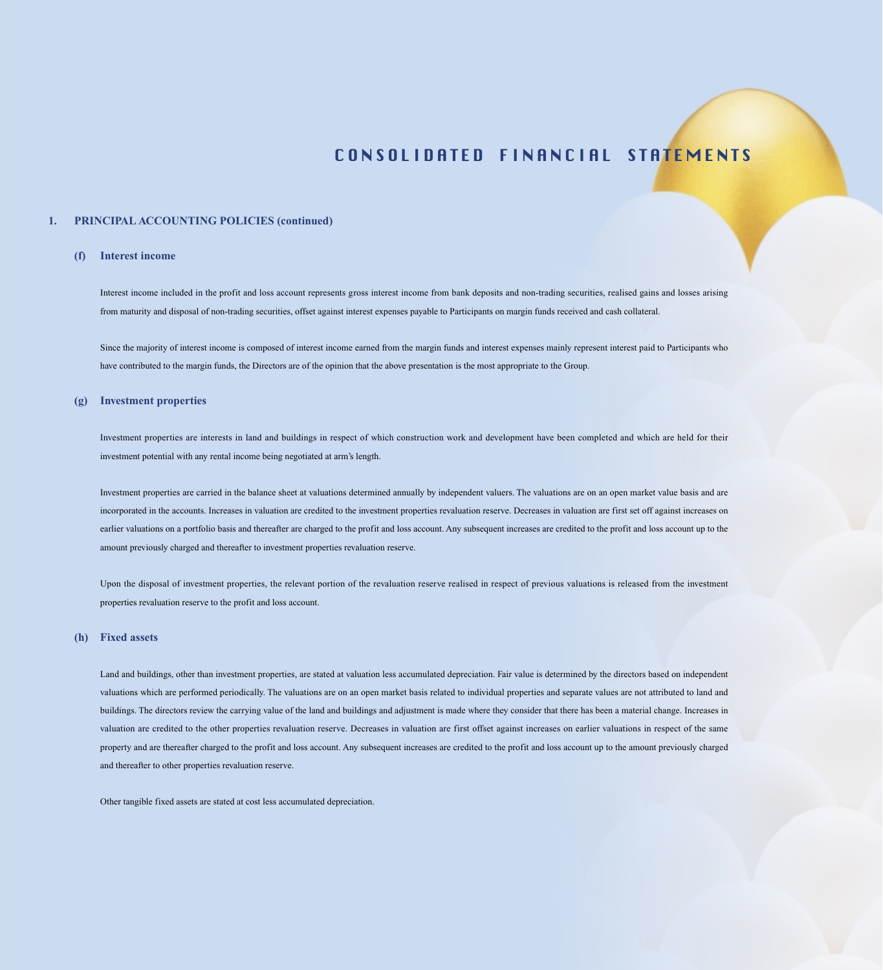#### **1. PRINCIPAL ACCOUNTING POLICIES (continued)**

#### **(f) Interest income**

Interest income included in the profit and loss account represents gross interest income from bank deposits and non-trading securities, realised gains and losses arising from maturity and disposal of non-trading securities, offset against interest expenses payable to Participants on margin funds received and cash collateral.

Since the majority of interest income is composed of interest income earned from the margin funds and interest expenses mainly represent interest paid to Participants who have contributed to the margin funds, the Directors are of the opinion that the above presentation is the most appropriate to the Group.

#### **(g) Investment properties**

Investment properties are interests in land and buildings in respect of which construction work and development have been completed and which are held for their investment potential with any rental income being negotiated at arm's length.

Investment properties are carried in the balance sheet at valuations determined annually by independent valuers. The valuations are on an open market value basis and are incorporated in the accounts. Increases in valuation are credited to the investment properties revaluation reserve. Decreases in valuation are first set off against increases on earlier valuations on a portfolio basis and thereafter are charged to the profit and loss account. Any subsequent increases are credited to the profit and loss account up to the amount previously charged and thereafter to investment properties revaluation reserve.

Upon the disposal of investment properties, the relevant portion of the revaluation reserve realised in respect of previous valuations is released from the investment properties revaluation reserve to the profit and loss account.

#### **(h) Fixed assets**

Land and buildings, other than investment properties, are stated at valuation less accumulated depreciation. Fair value is determined by the directors based on independent valuations which are performed periodically. The valuations are on an open market basis related to individual properties and separate values are not attributed to land and buildings. The directors review the carrying value of the land and buildings and adjustment is made where they consider that there has been a material change. Increases in valuation are credited to the other properties revaluation reserve. Decreases in valuation are first offset against increases on earlier valuations in respect of the same property and are thereafter charged to the profit and loss account. Any subsequent increases are credited to the profit and loss account up to the amount previously charged and thereafter to other properties revaluation reserve.

Other tangible fixed assets are stated at cost less accumulated depreciation.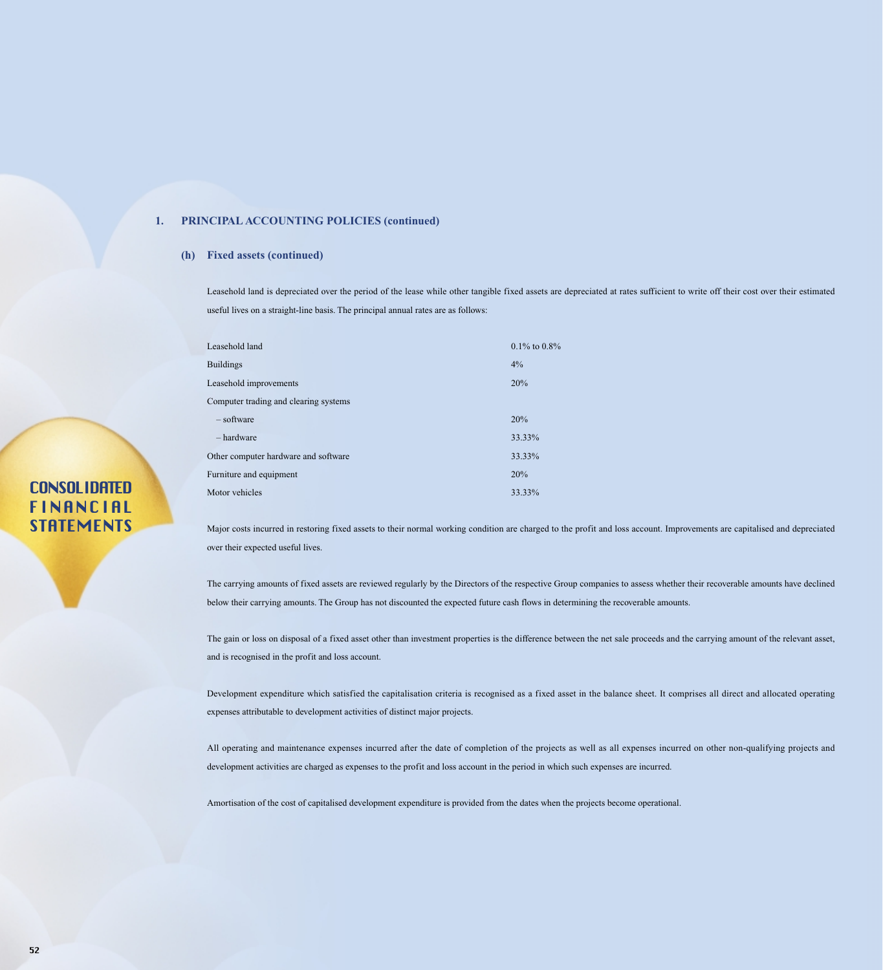#### **1. PRINCIPAL ACCOUNTING POLICIES (continued)**

#### **(h) Fixed assets (continued)**

Leasehold land is depreciated over the period of the lease while other tangible fixed assets are depreciated at rates sufficient to write off their cost over their estimated useful lives on a straight-line basis. The principal annual rates are as follows:

| Leasehold land                        | $0.1\%$ to $0.8\%$ |
|---------------------------------------|--------------------|
| <b>Buildings</b>                      | $4\%$              |
| Leasehold improvements                | 20%                |
| Computer trading and clearing systems |                    |
| $-$ software                          | 20%                |
| – hardware                            | 33.33%             |
| Other computer hardware and software  | 33.33%             |
| Furniture and equipment               | 20%                |
| Motor vehicles                        | 33.33%             |
|                                       |                    |

Major costs incurred in restoring fixed assets to their normal working condition are charged to the profit and loss account. Improvements are capitalised and depreciated over their expected useful lives.

The carrying amounts of fixed assets are reviewed regularly by the Directors of the respective Group companies to assess whether their recoverable amounts have declined below their carrying amounts. The Group has not discounted the expected future cash flows in determining the recoverable amounts.

The gain or loss on disposal of a fixed asset other than investment properties is the difference between the net sale proceeds and the carrying amount of the relevant asset, and is recognised in the profit and loss account.

Development expenditure which satisfied the capitalisation criteria is recognised as a fixed asset in the balance sheet. It comprises all direct and allocated operating expenses attributable to development activities of distinct major projects.

All operating and maintenance expenses incurred after the date of completion of the projects as well as all expenses incurred on other non-qualifying projects and development activities are charged as expenses to the profit and loss account in the period in which such expenses are incurred.

Amortisation of the cost of capitalised development expenditure is provided from the dates when the projects become operational.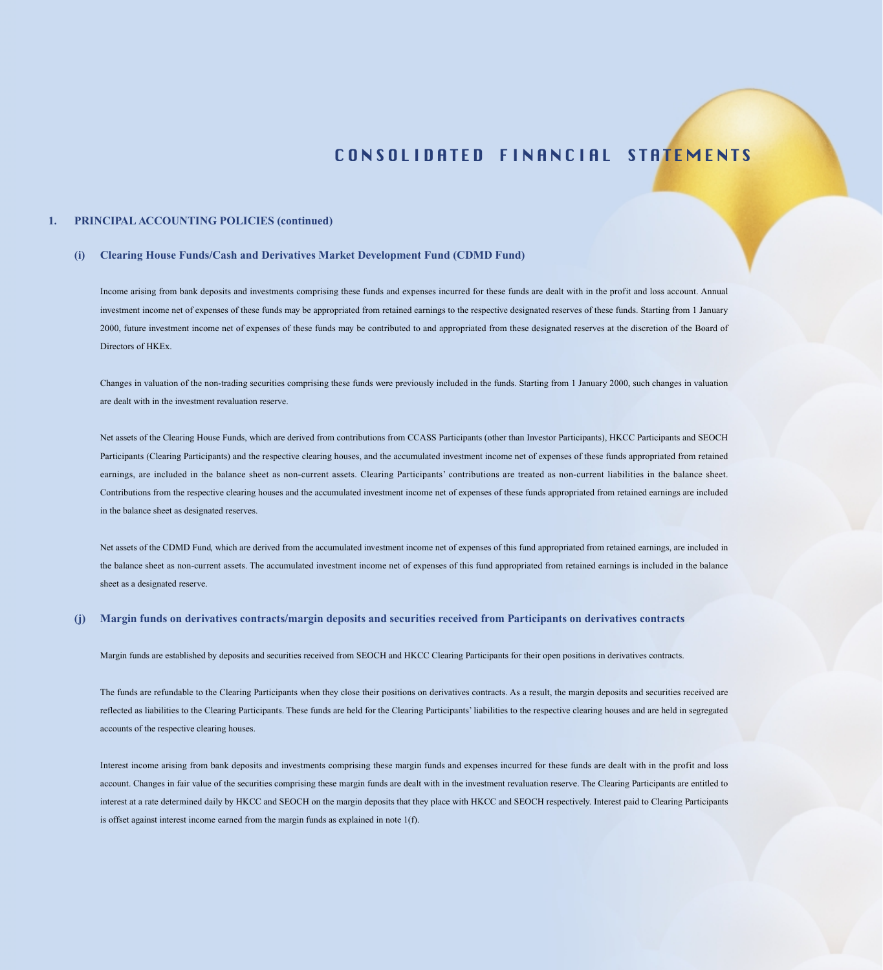#### **1. PRINCIPAL ACCOUNTING POLICIES (continued)**

#### **(i) Clearing House Funds/Cash and Derivatives Market Development Fund (CDMD Fund)**

Income arising from bank deposits and investments comprising these funds and expenses incurred for these funds are dealt with in the profit and loss account. Annual investment income net of expenses of these funds may be appropriated from retained earnings to the respective designated reserves of these funds. Starting from 1 January 2000, future investment income net of expenses of these funds may be contributed to and appropriated from these designated reserves at the discretion of the Board of Directors of HKEx.

Changes in valuation of the non-trading securities comprising these funds were previously included in the funds. Starting from 1 January 2000, such changes in valuation are dealt with in the investment revaluation reserve.

Net assets of the Clearing House Funds, which are derived from contributions from CCASS Participants (other than Investor Participants), HKCC Participants and SEOCH Participants (Clearing Participants) and the respective clearing houses, and the accumulated investment income net of expenses of these funds appropriated from retained earnings, are included in the balance sheet as non-current assets. Clearing Participants' contributions are treated as non-current liabilities in the balance sheet. Contributions from the respective clearing houses and the accumulated investment income net of expenses of these funds appropriated from retained earnings are included in the balance sheet as designated reserves.

Net assets of the CDMD Fund, which are derived from the accumulated investment income net of expenses of this fund appropriated from retained earnings, are included in the balance sheet as non-current assets. The accumulated investment income net of expenses of this fund appropriated from retained earnings is included in the balance sheet as a designated reserve.

#### **(j) Margin funds on derivatives contracts/margin deposits and securities received from Participants on derivatives contracts**

Margin funds are established by deposits and securities received from SEOCH and HKCC Clearing Participants for their open positions in derivatives contracts.

The funds are refundable to the Clearing Participants when they close their positions on derivatives contracts. As a result, the margin deposits and securities received are reflected as liabilities to the Clearing Participants. These funds are held for the Clearing Participants' liabilities to the respective clearing houses and are held in segregated accounts of the respective clearing houses.

Interest income arising from bank deposits and investments comprising these margin funds and expenses incurred for these funds are dealt with in the profit and loss account. Changes in fair value of the securities comprising these margin funds are dealt with in the investment revaluation reserve. The Clearing Participants are entitled to interest at a rate determined daily by HKCC and SEOCH on the margin deposits that they place with HKCC and SEOCH respectively. Interest paid to Clearing Participants is offset against interest income earned from the margin funds as explained in note 1(f).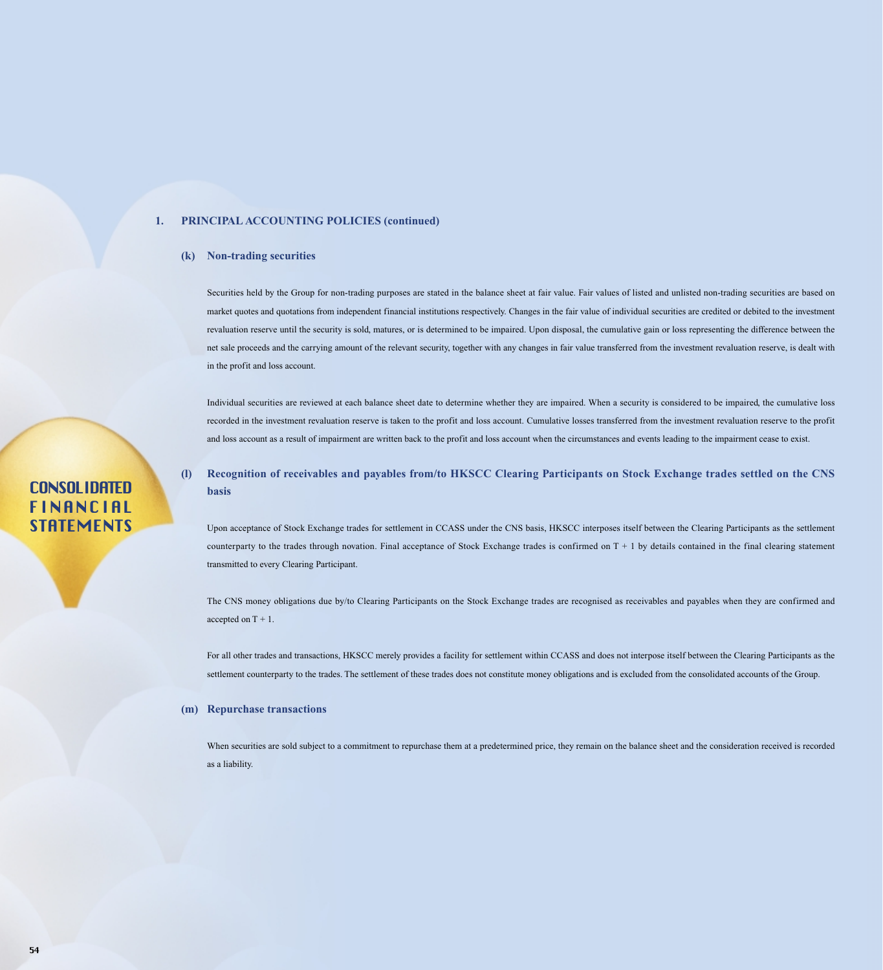#### **1. PRINCIPAL ACCOUNTING POLICIES (continued)**

#### **(k) Non-trading securities**

Securities held by the Group for non-trading purposes are stated in the balance sheet at fair value. Fair values of listed and unlisted non-trading securities are based on market quotes and quotations from independent financial institutions respectively. Changes in the fair value of individual securities are credited or debited to the investment revaluation reserve until the security is sold, matures, or is determined to be impaired. Upon disposal, the cumulative gain or loss representing the difference between the net sale proceeds and the carrying amount of the relevant security, together with any changes in fair value transferred from the investment revaluation reserve, is dealt with in the profit and loss account.

Individual securities are reviewed at each balance sheet date to determine whether they are impaired. When a security is considered to be impaired, the cumulative loss recorded in the investment revaluation reserve is taken to the profit and loss account. Cumulative losses transferred from the investment revaluation reserve to the profit and loss account as a result of impairment are written back to the profit and loss account when the circumstances and events leading to the impairment cease to exist.

**(l) Recognition of receivables and payables from/to HKSCC Clearing Participants on Stock Exchange trades settled on the CNS basis**

Upon acceptance of Stock Exchange trades for settlement in CCASS under the CNS basis, HKSCC interposes itself between the Clearing Participants as the settlement counterparty to the trades through novation. Final acceptance of Stock Exchange trades is confirmed on  $T + 1$  by details contained in the final clearing statement transmitted to every Clearing Participant.

The CNS money obligations due by/to Clearing Participants on the Stock Exchange trades are recognised as receivables and payables when they are confirmed and accepted on T + 1.

For all other trades and transactions, HKSCC merely provides a facility for settlement within CCASS and does not interpose itself between the Clearing Participants as the settlement counterparty to the trades. The settlement of these trades does not constitute money obligations and is excluded from the consolidated accounts of the Group.

#### **(m) Repurchase transactions**

When securities are sold subject to a commitment to repurchase them at a predetermined price, they remain on the balance sheet and the consideration received is recorded as a liability.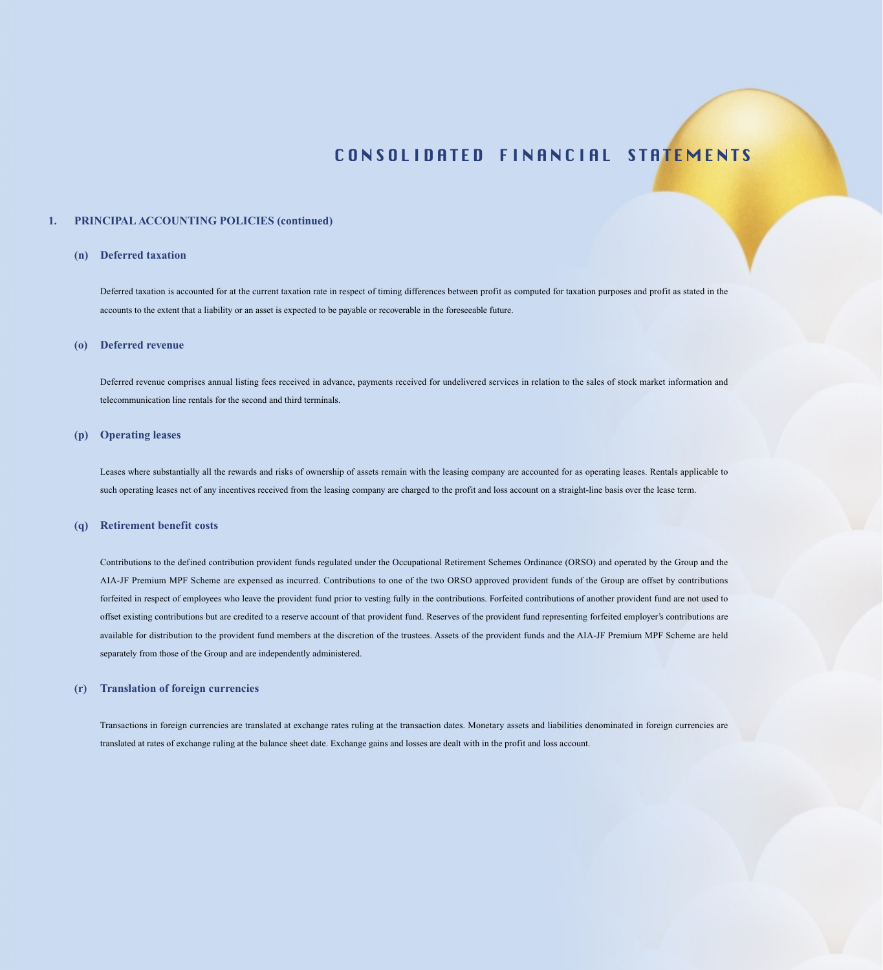#### **1. PRINCIPAL ACCOUNTING POLICIES (continued)**

#### **(n) Deferred taxation**

Deferred taxation is accounted for at the current taxation rate in respect of timing differences between profit as computed for taxation purposes and profit as stated in the accounts to the extent that a liability or an asset is expected to be payable or recoverable in the foreseeable future.

#### **(o) Deferred revenue**

Deferred revenue comprises annual listing fees received in advance, payments received for undelivered services in relation to the sales of stock market information and telecommunication line rentals for the second and third terminals.

#### **(p) Operating leases**

Leases where substantially all the rewards and risks of ownership of assets remain with the leasing company are accounted for as operating leases. Rentals applicable to such operating leases net of any incentives received from the leasing company are charged to the profit and loss account on a straight-line basis over the lease term.

#### **(q) Retirement benefit costs**

Contributions to the defined contribution provident funds regulated under the Occupational Retirement Schemes Ordinance (ORSO) and operated by the Group and the AIA-JF Premium MPF Scheme are expensed as incurred. Contributions to one of the two ORSO approved provident funds of the Group are offset by contributions forfeited in respect of employees who leave the provident fund prior to vesting fully in the contributions. Forfeited contributions of another provident fund are not used to offset existing contributions but are credited to a reserve account of that provident fund. Reserves of the provident fund representing forfeited employer's contributions are available for distribution to the provident fund members at the discretion of the trustees. Assets of the provident funds and the AIA-JF Premium MPF Scheme are held separately from those of the Group and are independently administered.

#### **(r) Translation of foreign currencies**

Transactions in foreign currencies are translated at exchange rates ruling at the transaction dates. Monetary assets and liabilities denominated in foreign currencies are translated at rates of exchange ruling at the balance sheet date. Exchange gains and losses are dealt with in the profit and loss account.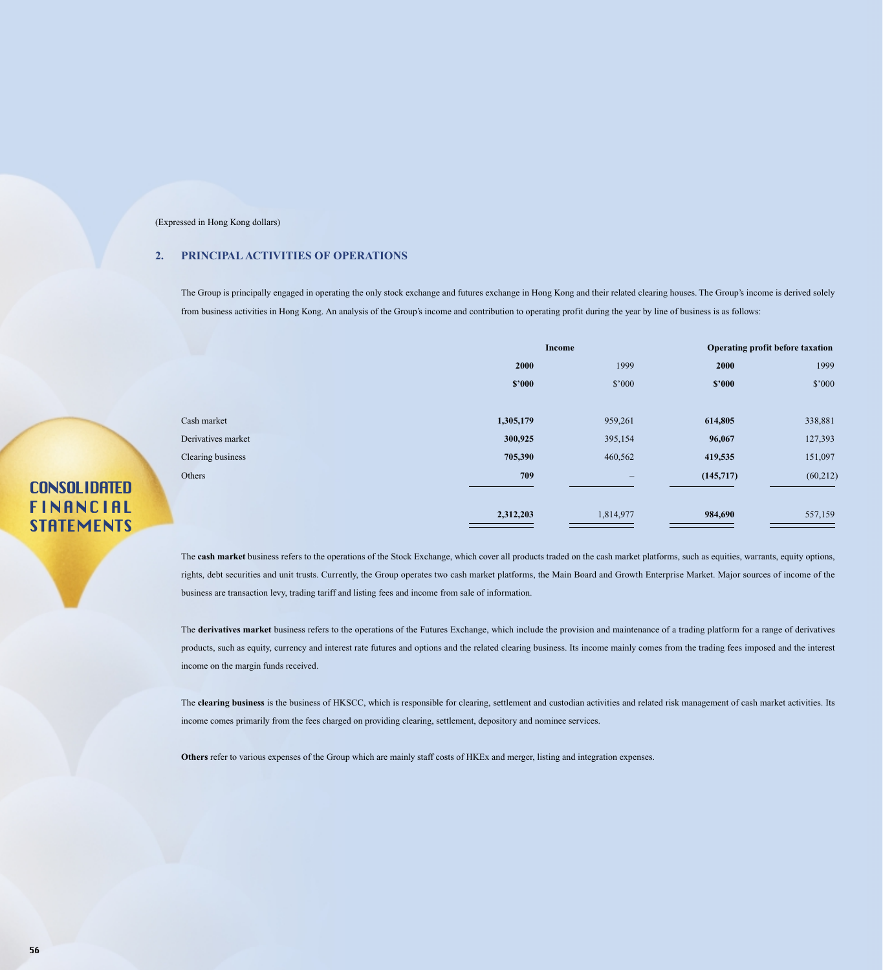### **2. PRINCIPAL ACTIVITIES OF OPERATIONS**

The Group is principally engaged in operating the only stock exchange and futures exchange in Hong Kong and their related clearing houses. The Group's income is derived solely from business activities in Hong Kong. An analysis of the Group's income and contribution to operating profit during the year by line of business is as follows:

|                    |           | Income                                                                    |           | Operating profit before taxation |
|--------------------|-----------|---------------------------------------------------------------------------|-----------|----------------------------------|
|                    | 2000      | 1999                                                                      | 2000      | 1999                             |
|                    | \$2000    | \$'000                                                                    | \$2000    | \$'000                           |
|                    |           |                                                                           |           |                                  |
| Cash market        | 1,305,179 | 959,261                                                                   | 614,805   | 338,881                          |
| Derivatives market | 300,925   | 395,154                                                                   | 96,067    | 127,393                          |
| Clearing business  | 705,390   | 460,562                                                                   | 419,535   | 151,097                          |
| Others             | 709       | $\hspace{1.0cm} \rule{1.5cm}{0.15cm} \hspace{1.0cm} \rule{1.5cm}{0.15cm}$ | (145,717) | (60, 212)                        |
|                    |           |                                                                           |           |                                  |
|                    | 2,312,203 | 1,814,977                                                                 | 984,690   | 557,159                          |

The **cash market** business refers to the operations of the Stock Exchange, which cover all products traded on the cash market platforms, such as equities, warrants, equity options, rights, debt securities and unit trusts. Currently, the Group operates two cash market platforms, the Main Board and Growth Enterprise Market. Major sources of income of the business are transaction levy, trading tariff and listing fees and income from sale of information.

The **derivatives market** business refers to the operations of the Futures Exchange, which include the provision and maintenance of a trading platform for a range of derivatives products, such as equity, currency and interest rate futures and options and the related clearing business. Its income mainly comes from the trading fees imposed and the interest income on the margin funds received.

The **clearing business** is the business of HKSCC, which is responsible for clearing, settlement and custodian activities and related risk management of cash market activities. Its income comes primarily from the fees charged on providing clearing, settlement, depository and nominee services.

**Others** refer to various expenses of the Group which are mainly staff costs of HKEx and merger, listing and integration expenses.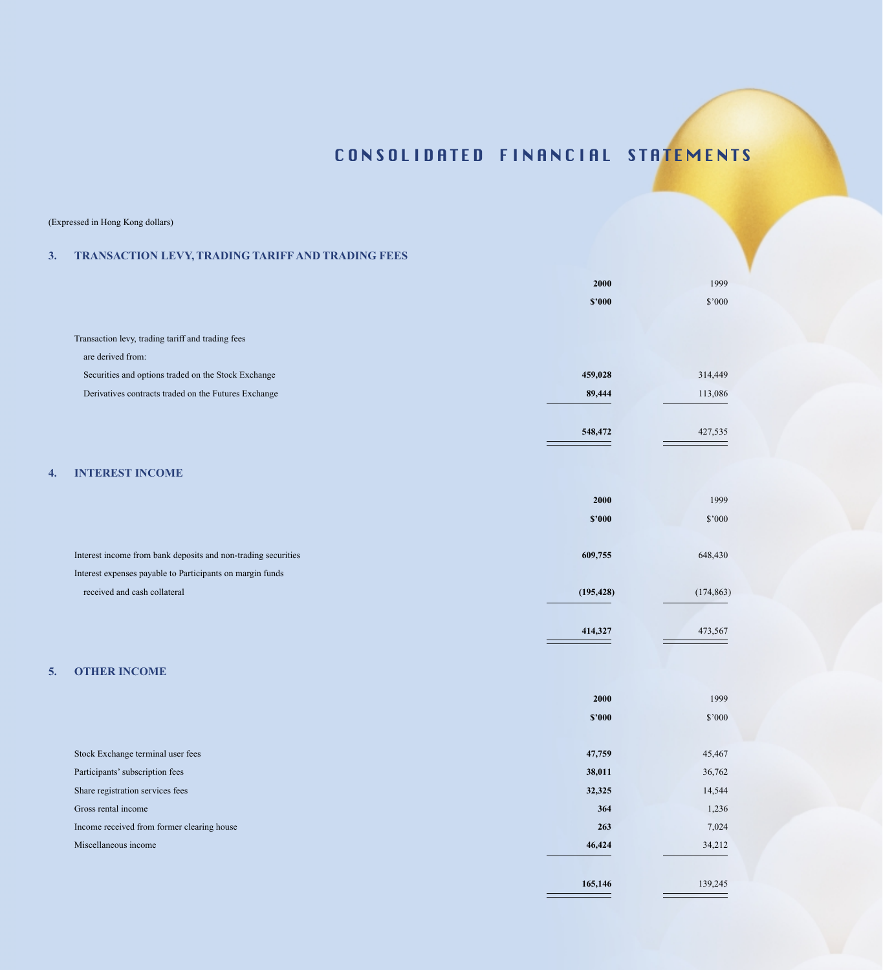**165,146** 139,245

Ξ

### (Expressed in Hong Kong dollars)

### **3. TRANSACTION LEVY, TRADING TARIFF AND TRADING FEES**

|    |                                                               | 2000       | 1999       |
|----|---------------------------------------------------------------|------------|------------|
|    |                                                               |            |            |
|    |                                                               | \$2000     | \$'000     |
|    | Transaction levy, trading tariff and trading fees             |            |            |
|    | are derived from:                                             |            |            |
|    | Securities and options traded on the Stock Exchange           | 459,028    | 314,449    |
|    | Derivatives contracts traded on the Futures Exchange          | 89,444     | 113,086    |
|    |                                                               |            |            |
|    |                                                               | 548,472    | 427,535    |
|    |                                                               |            |            |
| 4. | <b>INTEREST INCOME</b>                                        |            |            |
|    |                                                               | 2000       | 1999       |
|    |                                                               | \$2000     | $\$'000$   |
|    | Interest income from bank deposits and non-trading securities | 609,755    | 648,430    |
|    | Interest expenses payable to Participants on margin funds     |            |            |
|    | received and cash collateral                                  | (195, 428) | (174, 863) |
|    |                                                               |            |            |
|    |                                                               | 414,327    | 473,567    |
|    |                                                               |            |            |
| 5. | <b>OTHER INCOME</b>                                           |            |            |
|    |                                                               | 2000       | 1999       |
|    |                                                               | \$2000     | \$'000     |
|    | Stock Exchange terminal user fees                             | 47,759     | 45,467     |
|    | Participants' subscription fees                               | 38,011     | 36,762     |
|    | Share registration services fees                              | 32,325     | 14,544     |
|    | Gross rental income                                           | 364        | 1,236      |

Income received from former clearing house **263** 7,024

Miscellaneous income **46,424** 34,212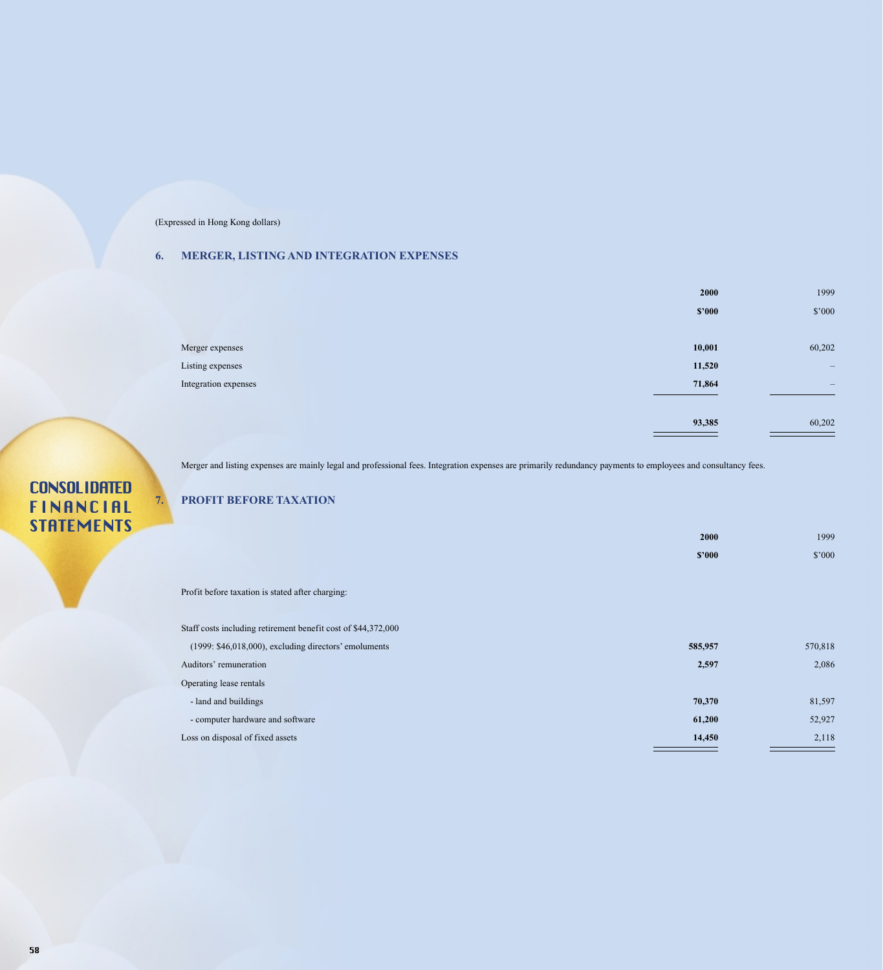## **6. MERGER, LISTING AND INTEGRATION EXPENSES**

|                      | 2000   | 1999              |
|----------------------|--------|-------------------|
|                      | \$2000 | \$'000            |
|                      |        |                   |
| Merger expenses      | 10,001 | 60,202            |
| Listing expenses     | 11,520 | $\qquad \qquad -$ |
| Integration expenses | 71,864 | $\qquad \qquad -$ |
|                      |        |                   |
|                      | 93,385 | 60,202            |
|                      |        |                   |

Merger and listing expenses are mainly legal and professional fees. Integration expenses are primarily redundancy payments to employees and consultancy fees.

## **7. PROFIT BEFORE TAXATION**

|                                                               | 2000    | 1999    |
|---------------------------------------------------------------|---------|---------|
|                                                               | \$2000  | \$'000  |
|                                                               |         |         |
| Profit before taxation is stated after charging:              |         |         |
|                                                               |         |         |
| Staff costs including retirement benefit cost of \$44,372,000 |         |         |
| $(1999: $46,018,000)$ , excluding directors' emoluments       | 585,957 | 570,818 |
| Auditors' remuneration                                        | 2,597   | 2,086   |
| Operating lease rentals                                       |         |         |
| - land and buildings                                          | 70,370  | 81,597  |
| - computer hardware and software                              | 61,200  | 52,927  |
| Loss on disposal of fixed assets                              | 14,450  | 2,118   |
|                                                               |         |         |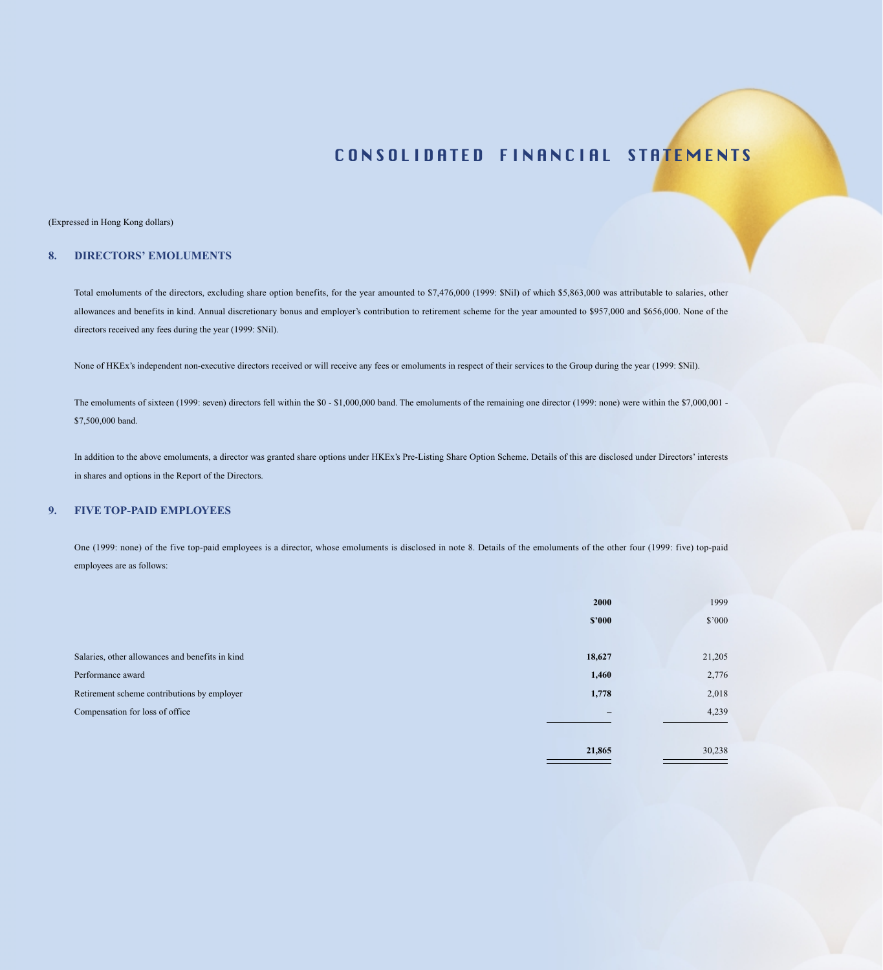#### (Expressed in Hong Kong dollars)

### **8. DIRECTORS' EMOLUMENTS**

Total emoluments of the directors, excluding share option benefits, for the year amounted to \$7,476,000 (1999: \$Nil) of which \$5,863,000 was attributable to salaries, other allowances and benefits in kind. Annual discretionary bonus and employer's contribution to retirement scheme for the year amounted to \$957,000 and \$656,000. None of the directors received any fees during the year (1999: \$Nil).

None of HKEx's independent non-executive directors received or will receive any fees or emoluments in respect of their services to the Group during the year (1999: \$Nil).

The emoluments of sixteen (1999: seven) directors fell within the \$0 - \$1,000,000 band. The emoluments of the remaining one director (1999: none) were within the \$7,000,001 -\$7,500,000 band.

In addition to the above emoluments, a director was granted share options under HKEx's Pre-Listing Share Option Scheme. Details of this are disclosed under Directors' interests in shares and options in the Report of the Directors.

## **9. FIVE TOP-PAID EMPLOYEES**

One (1999: none) of the five top-paid employees is a director, whose emoluments is disclosed in note 8. Details of the emoluments of the other four (1999: five) top-paid employees are as follows:

|                                                 | <b>2000</b>       | 1999           |
|-------------------------------------------------|-------------------|----------------|
|                                                 | \$2000            | $$^{\circ}000$ |
|                                                 |                   |                |
| Salaries, other allowances and benefits in kind | 18,627            | 21,205         |
| Performance award                               | 1,460             | 2,776          |
| Retirement scheme contributions by employer     | 1,778             | 2,018          |
| Compensation for loss of office                 | $\qquad \qquad -$ | 4,239          |
|                                                 |                   |                |
|                                                 | 21,865            | 30,238         |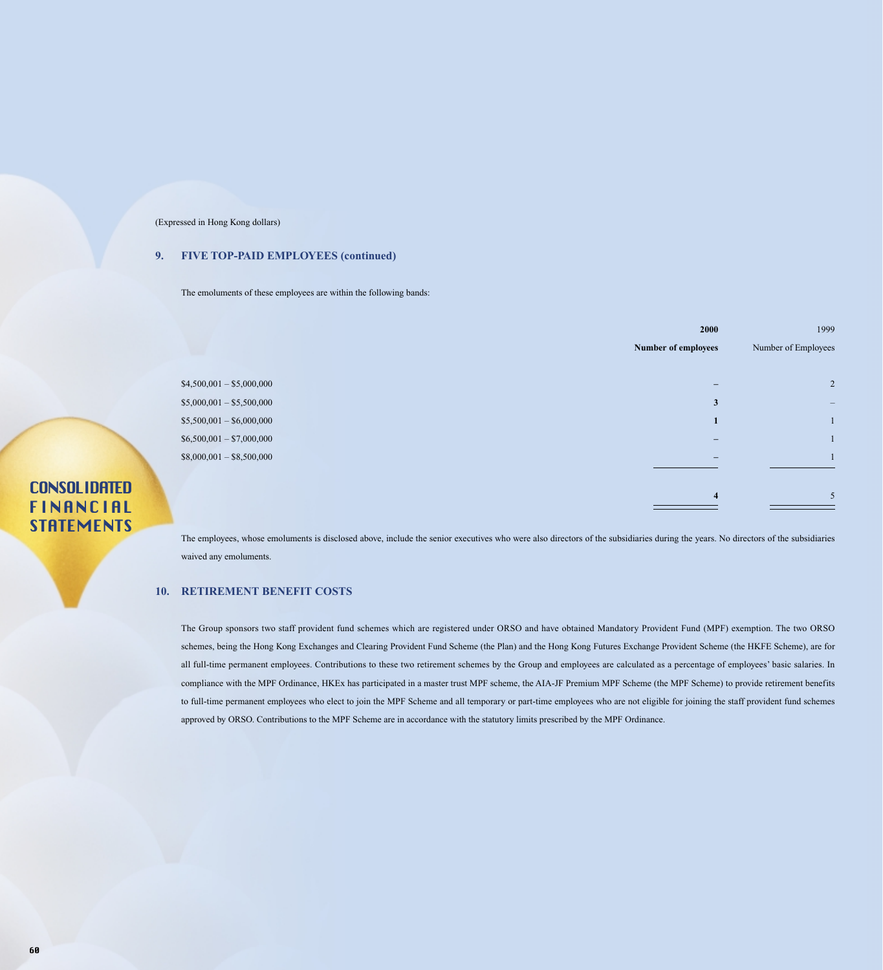### **9. FIVE TOP-PAID EMPLOYEES (continued)**

The emoluments of these employees are within the following bands:

|                           | 2000                    | 1999                |
|---------------------------|-------------------------|---------------------|
|                           | Number of employees     | Number of Employees |
|                           |                         |                     |
| $$4,500,001 - $5,000,000$ |                         |                     |
| $$5,000,001 - $5,500,000$ | 3                       |                     |
| $$5,500,001 - $6,000,000$ |                         |                     |
| $$6,500,001 - $7,000,000$ |                         |                     |
| $$8,000,001 - $8,500,000$ |                         |                     |
|                           |                         |                     |
|                           | $\overline{\mathbf{4}}$ | 5                   |
|                           |                         |                     |

The employees, whose emoluments is disclosed above, include the senior executives who were also directors of the subsidiaries during the years. No directors of the subsidiaries waived any emoluments.

### **10. RETIREMENT BENEFIT COSTS**

The Group sponsors two staff provident fund schemes which are registered under ORSO and have obtained Mandatory Provident Fund (MPF) exemption. The two ORSO schemes, being the Hong Kong Exchanges and Clearing Provident Fund Scheme (the Plan) and the Hong Kong Futures Exchange Provident Scheme (the HKFE Scheme), are for all full-time permanent employees. Contributions to these two retirement schemes by the Group and employees are calculated as a percentage of employees' basic salaries. In compliance with the MPF Ordinance, HKEx has participated in a master trust MPF scheme, the AIA-JF Premium MPF Scheme (the MPF Scheme) to provide retirement benefits to full-time permanent employees who elect to join the MPF Scheme and all temporary or part-time employees who are not eligible for joining the staff provident fund schemes approved by ORSO. Contributions to the MPF Scheme are in accordance with the statutory limits prescribed by the MPF Ordinance.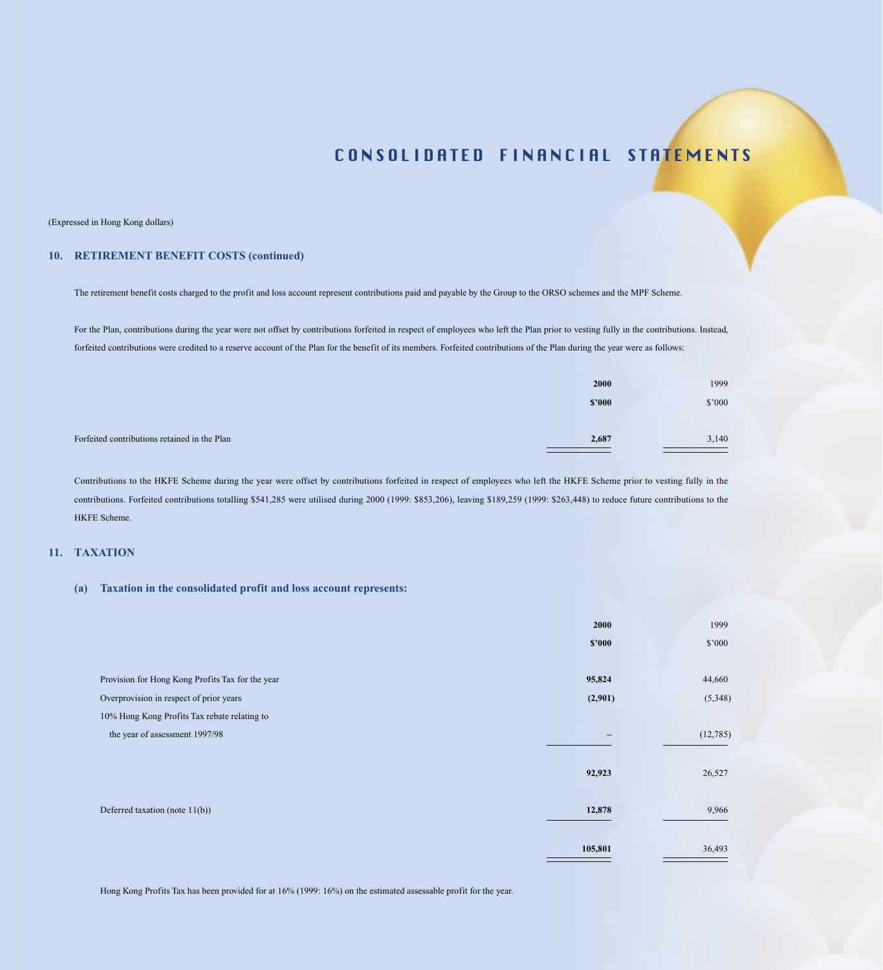#### (Expressed in Hong Kong dollars)

### **10. RETIREMENT BENEFIT COSTS (continued)**

The retirement benefit costs charged to the profit and loss account represent contributions paid and payable by the Group to the ORSO schemes and the MPF Scheme.

For the Plan, contributions during the year were not offset by contributions forfeited in respect of employees who left the Plan prior to vesting fully in the contributions. Instead, forfeited contributions were credited to a reserve account of the Plan for the benefit of its members. Forfeited contributions of the Plan during the year were as follows:

|                                              | 2000   | 1999   |
|----------------------------------------------|--------|--------|
|                                              | \$2000 | \$'000 |
|                                              |        |        |
| Forfeited contributions retained in the Plan | 2,687  | 3,140  |

Contributions to the HKFE Scheme during the year were offset by contributions forfeited in respect of employees who left the HKFE Scheme prior to vesting fully in the contributions. Forfeited contributions totalling \$541,285 were utilised during 2000 (1999: \$853,206), leaving \$189,259 (1999: \$263,448) to reduce future contributions to the HKFE Scheme.

#### **11. TAXATION**

#### **(a) Taxation in the consolidated profit and loss account represents:**

|                                                  | 2000    | 1999     |
|--------------------------------------------------|---------|----------|
|                                                  | \$2000  | \$'000   |
|                                                  |         |          |
| Provision for Hong Kong Profits Tax for the year | 95,824  | 44,660   |
| Overprovision in respect of prior years          | (2,901) | (5,348)  |
| 10% Hong Kong Profits Tax rebate relating to     |         |          |
| the year of assessment 1997/98                   |         | (12,785) |
|                                                  |         |          |
|                                                  | 92,923  | 26,527   |
|                                                  |         |          |
| Deferred taxation (note $11(b)$ )                | 12,878  | 9,966    |
|                                                  |         |          |
|                                                  | 105,801 | 36,493   |
|                                                  |         |          |

Hong Kong Profits Tax has been provided for at 16% (1999: 16%) on the estimated assessable profit for the year.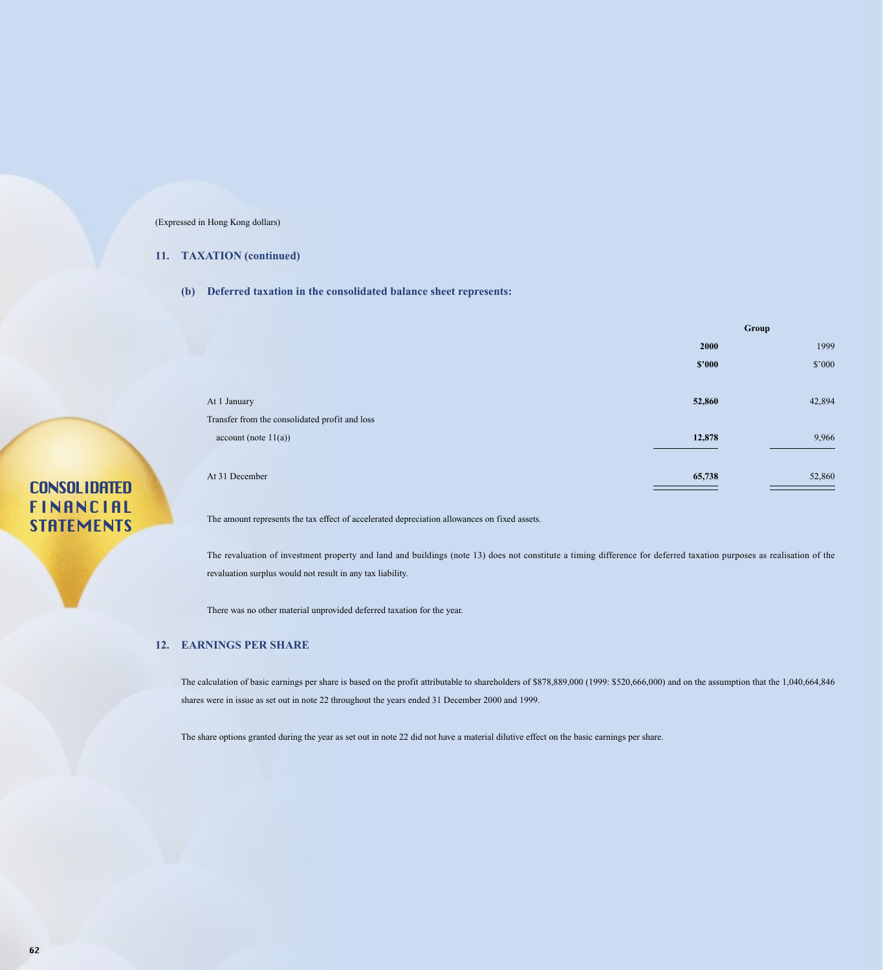### **11. TAXATION (continued)**

**(b) Deferred taxation in the consolidated balance sheet represents:**

|                                                |        | Group  |  |
|------------------------------------------------|--------|--------|--|
|                                                | 2000   | 1999   |  |
|                                                | \$2000 | \$'000 |  |
|                                                |        |        |  |
| At 1 January                                   | 52,860 | 42,894 |  |
| Transfer from the consolidated profit and loss |        |        |  |
| account (note 11(a))                           | 12,878 | 9,966  |  |
|                                                |        |        |  |
| At 31 December                                 | 65,738 | 52,860 |  |
|                                                |        |        |  |

# **CONSOLIDATED** FINANCIAL **STRTEMENTS**

The amount represents the tax effect of accelerated depreciation allowances on fixed assets.

The revaluation of investment property and land and buildings (note 13) does not constitute a timing difference for deferred taxation purposes as realisation of the revaluation surplus would not result in any tax liability.

There was no other material unprovided deferred taxation for the year.

## **12. EARNINGS PER SHARE**

The calculation of basic earnings per share is based on the profit attributable to shareholders of \$878,889,000 (1999: \$520,666,000) and on the assumption that the 1,040,664,846 shares were in issue as set out in note 22 throughout the years ended 31 December 2000 and 1999.

The share options granted during the year as set out in note 22 did not have a material dilutive effect on the basic earnings per share.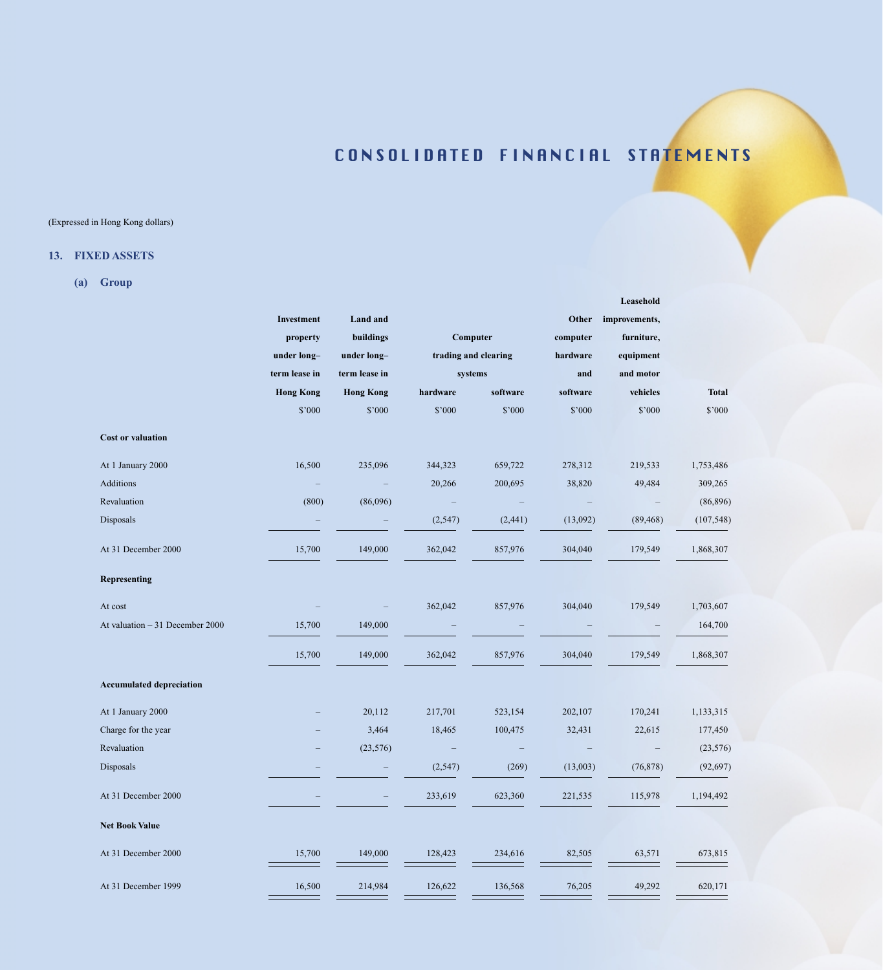**Leasehold**

## (Expressed in Hong Kong dollars)

## **13. FIXED ASSETS**

**(a) Group**

|                                 | Investment       | <b>Land</b> and  |                      |                | Other    | improvements, |              |
|---------------------------------|------------------|------------------|----------------------|----------------|----------|---------------|--------------|
|                                 | property         | buildings        | Computer             |                | computer | furniture,    |              |
|                                 | under long-      | under long-      | trading and clearing |                | hardware | equipment     |              |
|                                 | term lease in    | term lease in    |                      | systems<br>and |          | and motor     |              |
|                                 | <b>Hong Kong</b> | <b>Hong Kong</b> | hardware             | software       | software | vehicles      | <b>Total</b> |
|                                 | \$'000           | \$'000           | \$'000               | \$'000         | \$'000   | \$'000        | \$'000       |
| Cost or valuation               |                  |                  |                      |                |          |               |              |
| At 1 January 2000               | 16,500           | 235,096          | 344,323              | 659,722        | 278,312  | 219,533       | 1,753,486    |
| Additions                       |                  |                  | 20,266               | 200,695        | 38,820   | 49,484        | 309,265      |
| Revaluation                     | (800)            | (86,096)         |                      |                |          |               | (86,896)     |
| Disposals                       |                  |                  | (2,547)              | (2,441)        | (13,092) | (89, 468)     | (107, 548)   |
| At 31 December 2000             | 15,700           | 149,000          | 362,042              | 857,976        | 304,040  | 179,549       | 1,868,307    |
| Representing                    |                  |                  |                      |                |          |               |              |
| At cost                         |                  |                  | 362,042              | 857,976        | 304,040  | 179,549       | 1,703,607    |
| At valuation - 31 December 2000 | 15,700           | 149,000          |                      |                |          |               | 164,700      |
|                                 | 15,700           | 149,000          | 362,042              | 857,976        | 304,040  | 179,549       | 1,868,307    |
| <b>Accumulated depreciation</b> |                  |                  |                      |                |          |               |              |
| At 1 January 2000               |                  | 20,112           | 217,701              | 523,154        | 202,107  | 170,241       | 1,133,315    |
| Charge for the year             |                  | 3,464            | 18,465               | 100,475        | 32,431   | 22,615        | 177,450      |
| Revaluation                     |                  | (23, 576)        |                      |                |          |               | (23, 576)    |
| Disposals                       |                  |                  | (2,547)              | (269)          | (13,003) | (76, 878)     | (92, 697)    |
| At 31 December 2000             |                  |                  | 233,619              | 623,360        | 221,535  | 115,978       | 1,194,492    |
| <b>Net Book Value</b>           |                  |                  |                      |                |          |               |              |
| At 31 December 2000             | 15,700           | 149,000          | 128,423              | 234,616        | 82,505   | 63,571        | 673,815      |
| At 31 December 1999             | 16,500           | 214,984          | 126,622              | 136,568        | 76,205   | 49,292        | 620,171      |
|                                 |                  |                  |                      |                |          |               |              |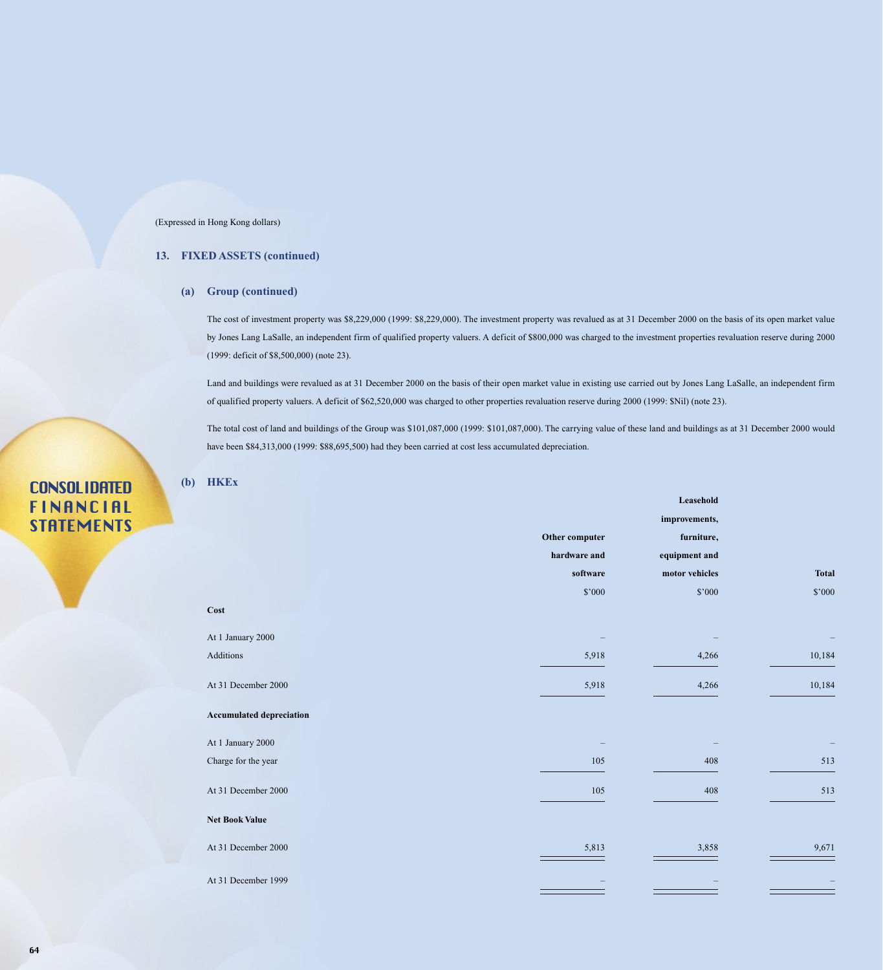### **13. FIXED ASSETS (continued)**

### **(a) Group (continued)**

The cost of investment property was \$8,229,000 (1999: \$8,229,000). The investment property was revalued as at 31 December 2000 on the basis of its open market value by Jones Lang LaSalle, an independent firm of qualified property valuers. A deficit of \$800,000 was charged to the investment properties revaluation reserve during 2000 (1999: deficit of \$8,500,000) (note 23).

Land and buildings were revalued as at 31 December 2000 on the basis of their open market value in existing use carried out by Jones Lang LaSalle, an independent firm of qualified property valuers. A deficit of \$62,520,000 was charged to other properties revaluation reserve during 2000 (1999: \$Nil) (note 23).

The total cost of land and buildings of the Group was \$101,087,000 (1999: \$101,087,000). The carrying value of these land and buildings as at 31 December 2000 would have been \$84,313,000 (1999: \$88,695,500) had they been carried at cost less accumulated depreciation.

## **(b) HKEx**

|                                 |                | Leasehold      |              |
|---------------------------------|----------------|----------------|--------------|
|                                 |                | improvements,  |              |
|                                 | Other computer | furniture,     |              |
|                                 | hardware and   | equipment and  |              |
|                                 | software       | motor vehicles | <b>Total</b> |
|                                 | \$'000         | \$'000         | \$'000       |
| Cost                            |                |                |              |
| At 1 January 2000               |                |                |              |
| Additions                       | 5,918          | 4,266          | 10,184       |
| At 31 December 2000             | 5,918          | 4,266          | 10,184       |
| <b>Accumulated depreciation</b> |                |                |              |
| At 1 January 2000               |                |                |              |
| Charge for the year             | 105            | 408            | 513          |
| At 31 December 2000             | 105            | 408            | 513          |
| Net Book Value                  |                |                |              |
| At 31 December 2000             | 5,813          | 3,858          | 9,671        |
| At 31 December 1999             |                |                |              |
|                                 |                |                |              |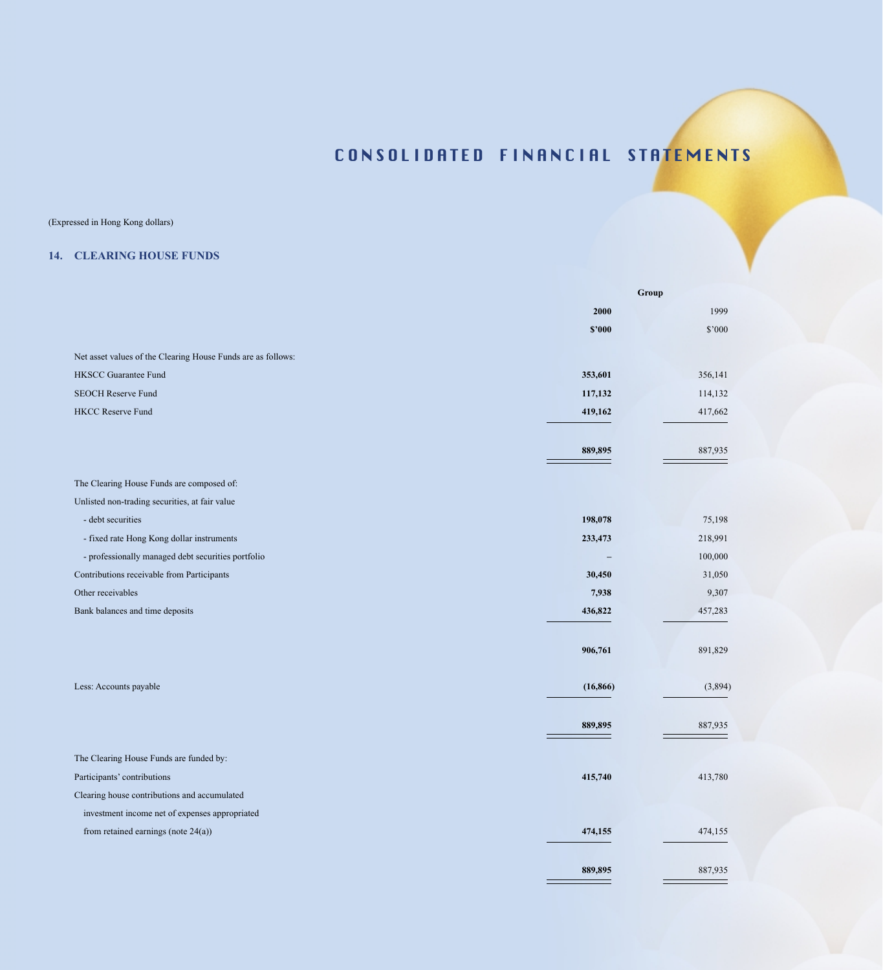## (Expressed in Hong Kong dollars)

## **14. CLEARING HOUSE FUNDS**

|                                                              | Group     |         |  |
|--------------------------------------------------------------|-----------|---------|--|
|                                                              | 2000      | 1999    |  |
|                                                              | \$2000    | \$'000  |  |
| Net asset values of the Clearing House Funds are as follows: |           |         |  |
| <b>HKSCC Guarantee Fund</b>                                  | 353,601   | 356,141 |  |
| <b>SEOCH Reserve Fund</b>                                    | 117,132   | 114,132 |  |
| <b>HKCC Reserve Fund</b>                                     | 419,162   | 417,662 |  |
|                                                              | 889,895   | 887,935 |  |
| The Clearing House Funds are composed of:                    |           |         |  |
| Unlisted non-trading securities, at fair value               |           |         |  |
| - debt securities                                            | 198,078   | 75,198  |  |
| - fixed rate Hong Kong dollar instruments                    | 233,473   | 218,991 |  |
| - professionally managed debt securities portfolio           |           | 100,000 |  |
| Contributions receivable from Participants                   | 30,450    | 31,050  |  |
| Other receivables                                            | 7,938     | 9,307   |  |
| Bank balances and time deposits                              | 436,822   | 457,283 |  |
|                                                              | 906,761   | 891,829 |  |
| Less: Accounts payable                                       | (16, 866) | (3,894) |  |
|                                                              | 889,895   | 887,935 |  |
| The Clearing House Funds are funded by:                      |           |         |  |
| Participants' contributions                                  | 415,740   | 413,780 |  |
| Clearing house contributions and accumulated                 |           |         |  |
| investment income net of expenses appropriated               |           |         |  |
| from retained earnings (note $24(a)$ )                       | 474,155   | 474,155 |  |
|                                                              | 889,895   | 887,935 |  |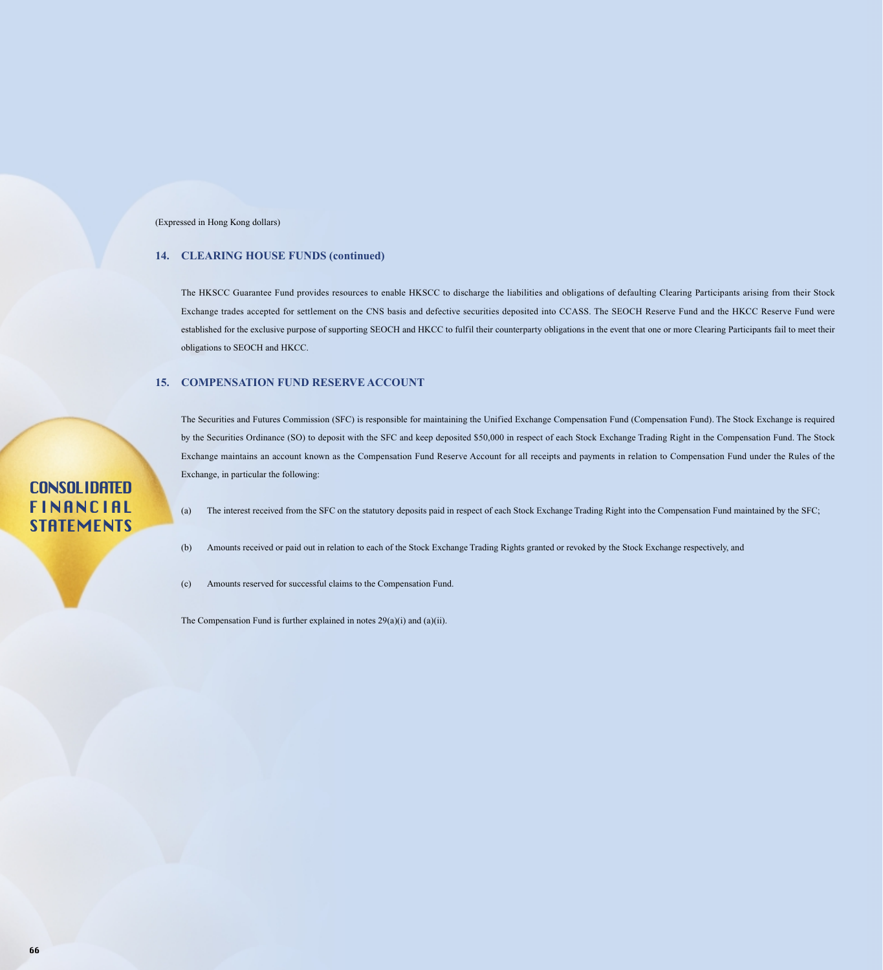### **14. CLEARING HOUSE FUNDS (continued)**

The HKSCC Guarantee Fund provides resources to enable HKSCC to discharge the liabilities and obligations of defaulting Clearing Participants arising from their Stock Exchange trades accepted for settlement on the CNS basis and defective securities deposited into CCASS. The SEOCH Reserve Fund and the HKCC Reserve Fund were established for the exclusive purpose of supporting SEOCH and HKCC to fulfil their counterparty obligations in the event that one or more Clearing Participants fail to meet their obligations to SEOCH and HKCC.

#### **15. COMPENSATION FUND RESERVE ACCOUNT**

The Securities and Futures Commission (SFC) is responsible for maintaining the Unified Exchange Compensation Fund (Compensation Fund). The Stock Exchange is required by the Securities Ordinance (SO) to deposit with the SFC and keep deposited \$50,000 in respect of each Stock Exchange Trading Right in the Compensation Fund. The Stock Exchange maintains an account known as the Compensation Fund Reserve Account for all receipts and payments in relation to Compensation Fund under the Rules of the Exchange, in particular the following:

### (a) The interest received from the SFC on the statutory deposits paid in respect of each Stock Exchange Trading Right into the Compensation Fund maintained by the SFC;

(b) Amounts received or paid out in relation to each of the Stock Exchange Trading Rights granted or revoked by the Stock Exchange respectively, and

(c) Amounts reserved for successful claims to the Compensation Fund.

The Compensation Fund is further explained in notes 29(a)(i) and (a)(ii).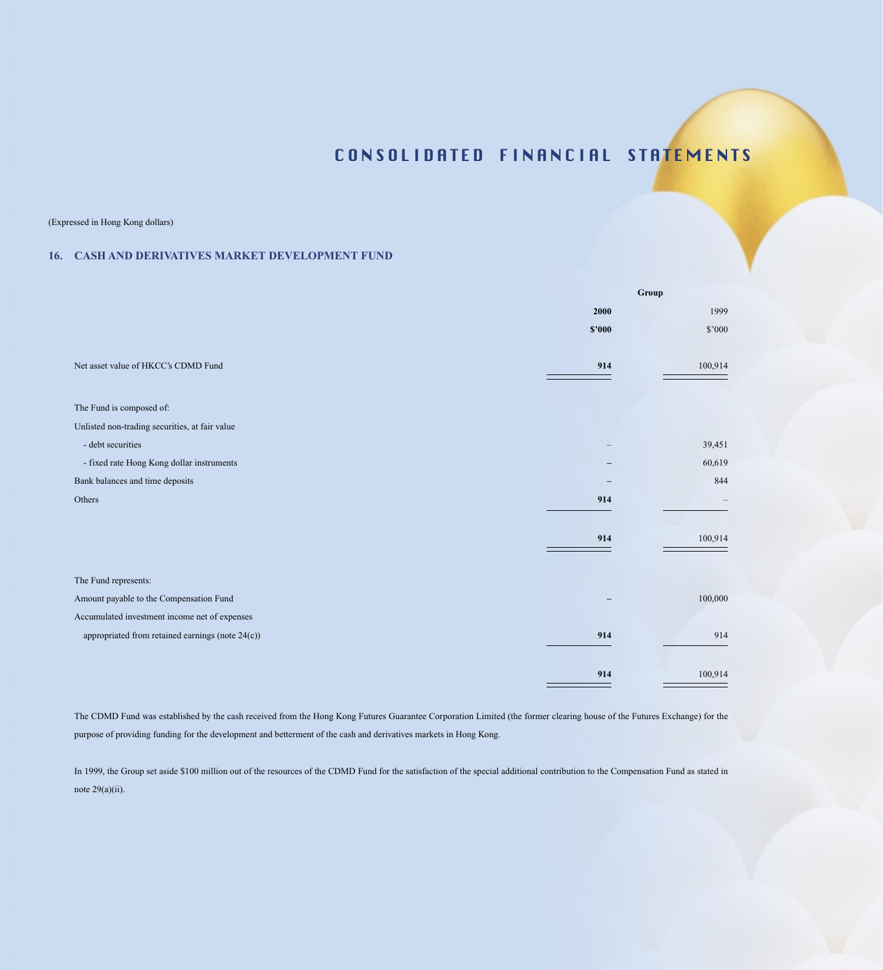(Expressed in Hong Kong dollars)

### **16. CASH AND DERIVATIVES MARKET DEVELOPMENT FUND**

|                                                  |        | Group   |
|--------------------------------------------------|--------|---------|
|                                                  | 2000   | 1999    |
|                                                  | \$2000 | \$'000  |
|                                                  |        |         |
| Net asset value of HKCC's CDMD Fund              | 914    | 100,914 |
|                                                  |        |         |
| The Fund is composed of:                         |        |         |
| Unlisted non-trading securities, at fair value   |        |         |
| - debt securities                                |        | 39,451  |
| - fixed rate Hong Kong dollar instruments        |        | 60,619  |
| Bank balances and time deposits                  |        | 844     |
| Others                                           | 914    |         |
|                                                  |        |         |
|                                                  | 914    | 100,914 |
|                                                  |        |         |
| The Fund represents:                             |        |         |
| Amount payable to the Compensation Fund          |        | 100,000 |
| Accumulated investment income net of expenses    |        |         |
| appropriated from retained earnings (note 24(c)) | 914    | 914     |
|                                                  |        |         |
|                                                  | 914    | 100,914 |

The CDMD Fund was established by the cash received from the Hong Kong Futures Guarantee Corporation Limited (the former clearing house of the Futures Exchange) for the purpose of providing funding for the development and betterment of the cash and derivatives markets in Hong Kong.

In 1999, the Group set aside \$100 million out of the resources of the CDMD Fund for the satisfaction of the special additional contribution to the Compensation Fund as stated in note  $29(a)(ii)$ .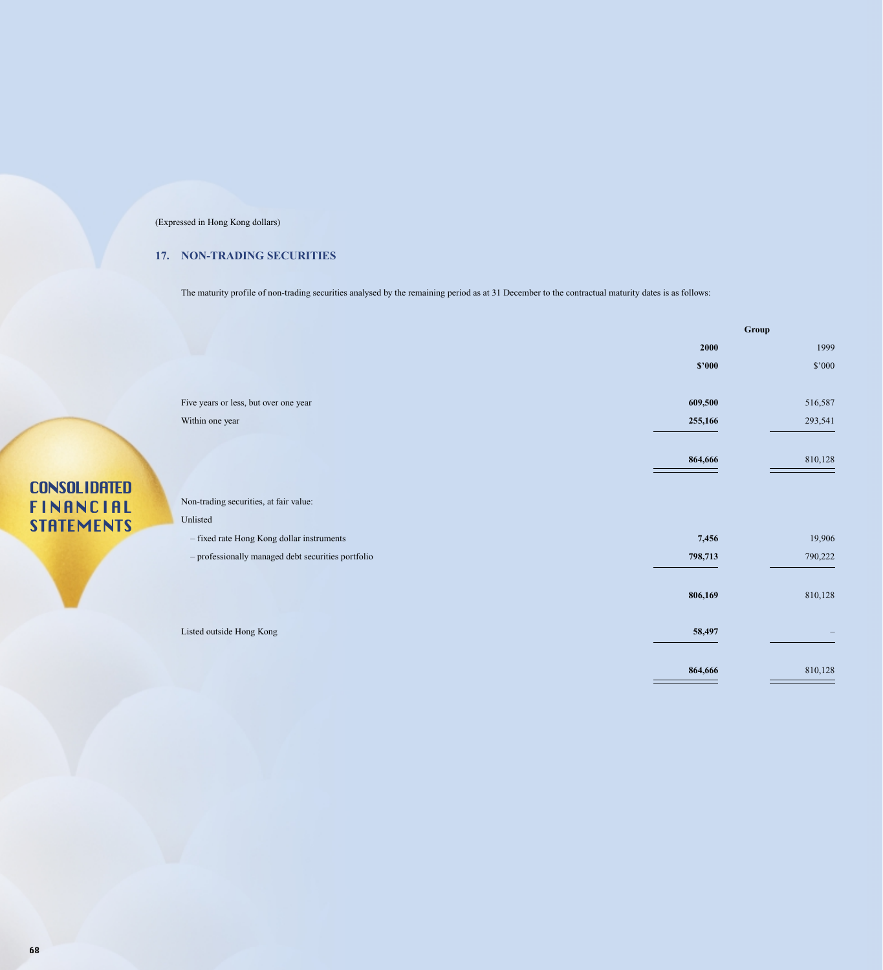## **17. NON-TRADING SECURITIES**

The maturity profile of non-trading securities analysed by the remaining period as at 31 December to the contractual maturity dates is as follows:

|                                                    |         | Group   |
|----------------------------------------------------|---------|---------|
|                                                    | 2000    | 1999    |
|                                                    | \$'000  | \$'000  |
|                                                    |         |         |
| Five years or less, but over one year              | 609,500 | 516,587 |
| Within one year                                    | 255,166 | 293,541 |
|                                                    |         |         |
|                                                    | 864,666 | 810,128 |
|                                                    |         |         |
| Non-trading securities, at fair value:             |         |         |
| Unlisted                                           |         |         |
| - fixed rate Hong Kong dollar instruments          | 7,456   | 19,906  |
| - professionally managed debt securities portfolio | 798,713 | 790,222 |
|                                                    |         |         |
|                                                    | 806,169 | 810,128 |
|                                                    |         |         |
| Listed outside Hong Kong                           | 58,497  |         |
|                                                    |         |         |
|                                                    | 864,666 | 810,128 |
|                                                    |         |         |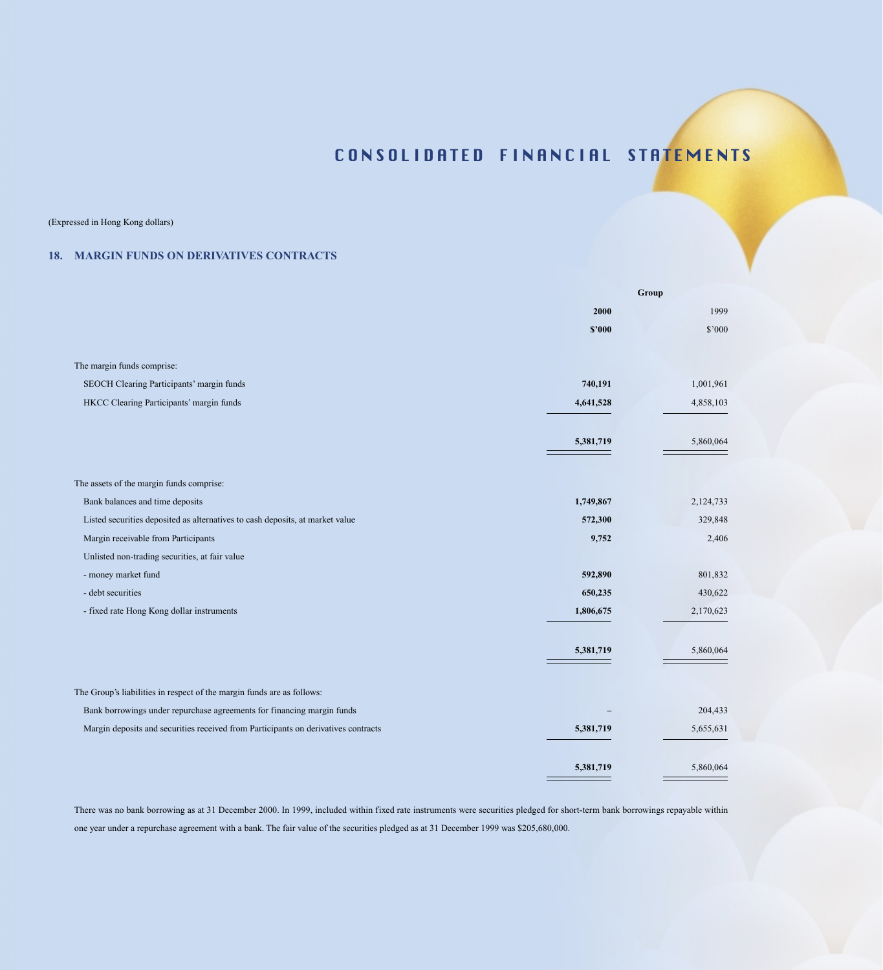(Expressed in Hong Kong dollars)

### **18. MARGIN FUNDS ON DERIVATIVES CONTRACTS**

|                                                                                    |           | Group     |
|------------------------------------------------------------------------------------|-----------|-----------|
|                                                                                    | 2000      | 1999      |
|                                                                                    | \$2000    | \$'000    |
|                                                                                    |           |           |
| The margin funds comprise:                                                         |           |           |
| SEOCH Clearing Participants' margin funds                                          | 740,191   | 1,001,961 |
| HKCC Clearing Participants' margin funds                                           | 4,641,528 | 4,858,103 |
|                                                                                    | 5,381,719 | 5,860,064 |
|                                                                                    |           |           |
| The assets of the margin funds comprise:                                           |           |           |
| Bank balances and time deposits                                                    | 1,749,867 | 2,124,733 |
| Listed securities deposited as alternatives to cash deposits, at market value      | 572,300   | 329,848   |
| Margin receivable from Participants                                                | 9,752     | 2,406     |
| Unlisted non-trading securities, at fair value                                     |           |           |
| - money market fund                                                                | 592,890   | 801,832   |
| - debt securities                                                                  | 650,235   | 430,622   |
| - fixed rate Hong Kong dollar instruments                                          | 1,806,675 | 2,170,623 |
|                                                                                    |           |           |
|                                                                                    | 5,381,719 | 5,860,064 |
|                                                                                    |           |           |
| The Group's liabilities in respect of the margin funds are as follows:             |           |           |
| Bank borrowings under repurchase agreements for financing margin funds             |           | 204,433   |
| Margin deposits and securities received from Participants on derivatives contracts | 5,381,719 | 5,655,631 |
|                                                                                    |           |           |
|                                                                                    | 5,381,719 | 5,860,064 |

There was no bank borrowing as at 31 December 2000. In 1999, included within fixed rate instruments were securities pledged for short-term bank borrowings repayable within one year under a repurchase agreement with a bank. The fair value of the securities pledged as at 31 December 1999 was \$205,680,000.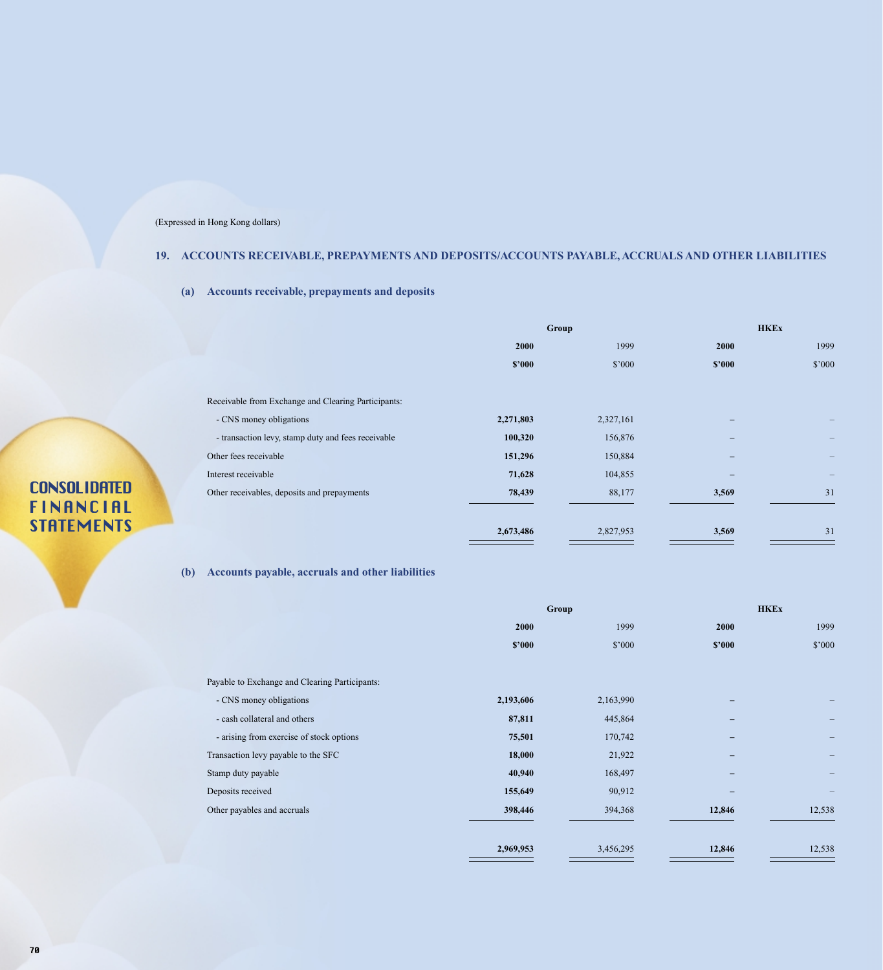## **19. ACCOUNTS RECEIVABLE, PREPAYMENTS AND DEPOSITS/ACCOUNTS PAYABLE, ACCRUALS AND OTHER LIABILITIES**

**(a) Accounts receivable, prepayments and deposits**

|                                                     | Group     |           | <b>HKEx</b>              |        |
|-----------------------------------------------------|-----------|-----------|--------------------------|--------|
|                                                     | 2000      | 1999      | 2000                     | 1999   |
|                                                     | \$2000    | \$'000    | \$2000                   | \$'000 |
|                                                     |           |           |                          |        |
| Receivable from Exchange and Clearing Participants: |           |           |                          |        |
| - CNS money obligations                             | 2,271,803 | 2,327,161 |                          |        |
| - transaction levy, stamp duty and fees receivable  | 100,320   | 156,876   | -                        |        |
| Other fees receivable                               | 151,296   | 150,884   | $\qquad \qquad -$        |        |
| Interest receivable                                 | 71,628    | 104,855   | $\overline{\phantom{0}}$ |        |
| Other receivables, deposits and prepayments         | 78,439    | 88,177    | 3,569                    | 31     |
|                                                     |           |           |                          |        |
|                                                     | 2,673,486 | 2,827,953 | 3,569                    | 31     |

## **(b) Accounts payable, accruals and other liabilities**

|                                                | <b>Group</b> |           |        | <b>HKEx</b> |
|------------------------------------------------|--------------|-----------|--------|-------------|
|                                                | 2000         | 1999      | 2000   | 1999        |
|                                                | \$2000       | \$'000    | \$2000 | \$'000      |
| Payable to Exchange and Clearing Participants: |              |           |        |             |
| - CNS money obligations                        | 2,193,606    | 2,163,990 |        |             |
| - cash collateral and others                   | 87,811       | 445,864   | -      |             |
| - arising from exercise of stock options       | 75,501       | 170,742   | -      |             |
| Transaction levy payable to the SFC            | 18,000       | 21,922    |        |             |
| Stamp duty payable                             | 40,940       | 168,497   |        |             |
| Deposits received                              | 155,649      | 90,912    |        |             |
| Other payables and accruals                    | 398,446      | 394,368   | 12,846 | 12,538      |
|                                                | 2,969,953    | 3,456,295 | 12,846 | 12,538      |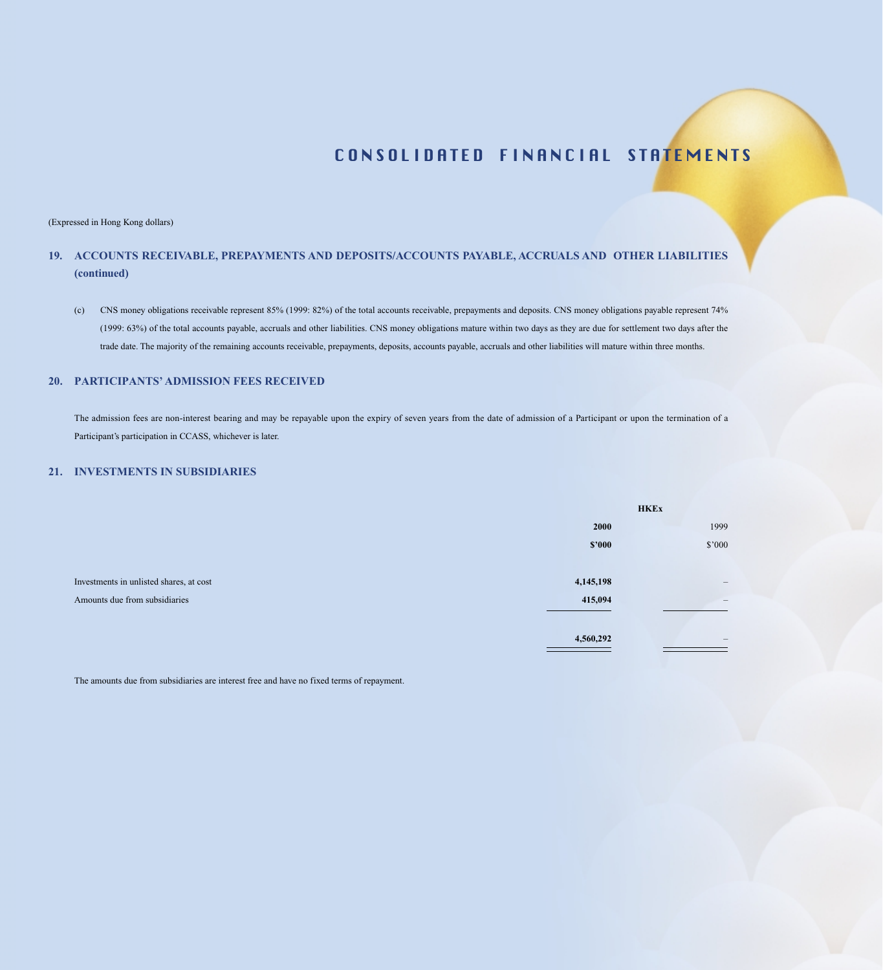#### (Expressed in Hong Kong dollars)

## **19. ACCOUNTS RECEIVABLE, PREPAYMENTS AND DEPOSITS/ACCOUNTS PAYABLE, ACCRUALS AND OTHER LIABILITIES (continued)**

(c) CNS money obligations receivable represent 85% (1999: 82%) of the total accounts receivable, prepayments and deposits. CNS money obligations payable represent 74% (1999: 63%) of the total accounts payable, accruals and other liabilities. CNS money obligations mature within two days as they are due for settlement two days after the trade date. The majority of the remaining accounts receivable, prepayments, deposits, accounts payable, accruals and other liabilities will mature within three months.

### **20. PARTICIPANTS' ADMISSION FEES RECEIVED**

The admission fees are non-interest bearing and may be repayable upon the expiry of seven years from the date of admission of a Participant or upon the termination of a Participant's participation in CCASS, whichever is later.

#### **21. INVESTMENTS IN SUBSIDIARIES**

|                                         |           | <b>HKEx</b>                     |
|-----------------------------------------|-----------|---------------------------------|
|                                         | 2000      | 1999                            |
|                                         | \$2000    | \$'000                          |
|                                         |           |                                 |
| Investments in unlisted shares, at cost | 4,145,198 | $\qquad \qquad -$               |
| Amounts due from subsidiaries           | 415,094   | $\hspace{0.1mm}-\hspace{0.1mm}$ |
|                                         |           |                                 |
|                                         | 4,560,292 | $\qquad \qquad -$               |
|                                         |           |                                 |

The amounts due from subsidiaries are interest free and have no fixed terms of repayment.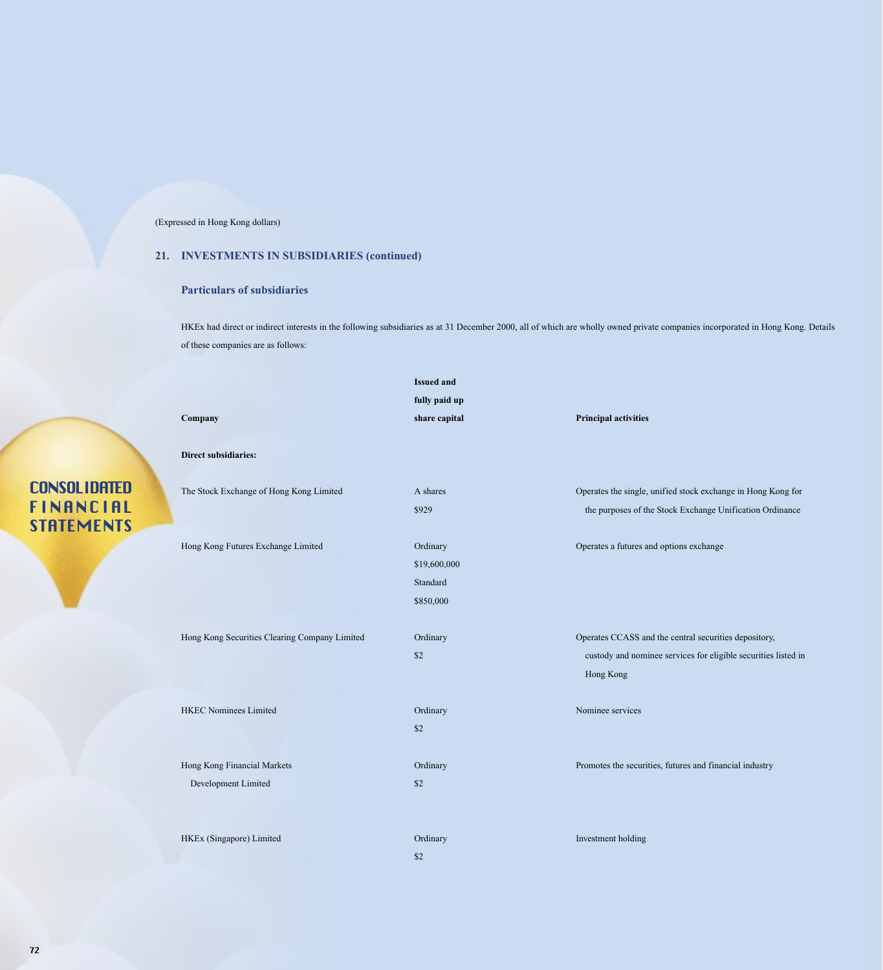## **21. INVESTMENTS IN SUBSIDIARIES (continued)**

### **Particulars of subsidiaries**

HKEx had direct or indirect interests in the following subsidiaries as at 31 December 2000, all of which are wholly owned private companies incorporated in Hong Kong. Details of these companies are as follows:

|                                               | <b>Issued and</b>                                 |                                                                                                                                      |
|-----------------------------------------------|---------------------------------------------------|--------------------------------------------------------------------------------------------------------------------------------------|
|                                               | fully paid up                                     |                                                                                                                                      |
| Company                                       | share capital                                     | <b>Principal activities</b>                                                                                                          |
| <b>Direct subsidiaries:</b>                   |                                                   |                                                                                                                                      |
| The Stock Exchange of Hong Kong Limited       | A shares                                          | Operates the single, unified stock exchange in Hong Kong for                                                                         |
|                                               | \$929                                             | the purposes of the Stock Exchange Unification Ordinance                                                                             |
| Hong Kong Futures Exchange Limited            | Ordinary<br>\$19,600,000<br>Standard<br>\$850,000 | Operates a futures and options exchange                                                                                              |
| Hong Kong Securities Clearing Company Limited | Ordinary<br>\$2                                   | Operates CCASS and the central securities depository,<br>custody and nominee services for eligible securities listed in<br>Hong Kong |
| <b>HKEC Nominees Limited</b>                  | Ordinary<br>\$2                                   | Nominee services                                                                                                                     |
| Hong Kong Financial Markets                   | Ordinary                                          | Promotes the securities, futures and financial industry                                                                              |
| Development Limited                           | \$2                                               |                                                                                                                                      |
|                                               |                                                   |                                                                                                                                      |
| HKEx (Singapore) Limited                      | Ordinary                                          | Investment holding                                                                                                                   |
|                                               | \$2                                               |                                                                                                                                      |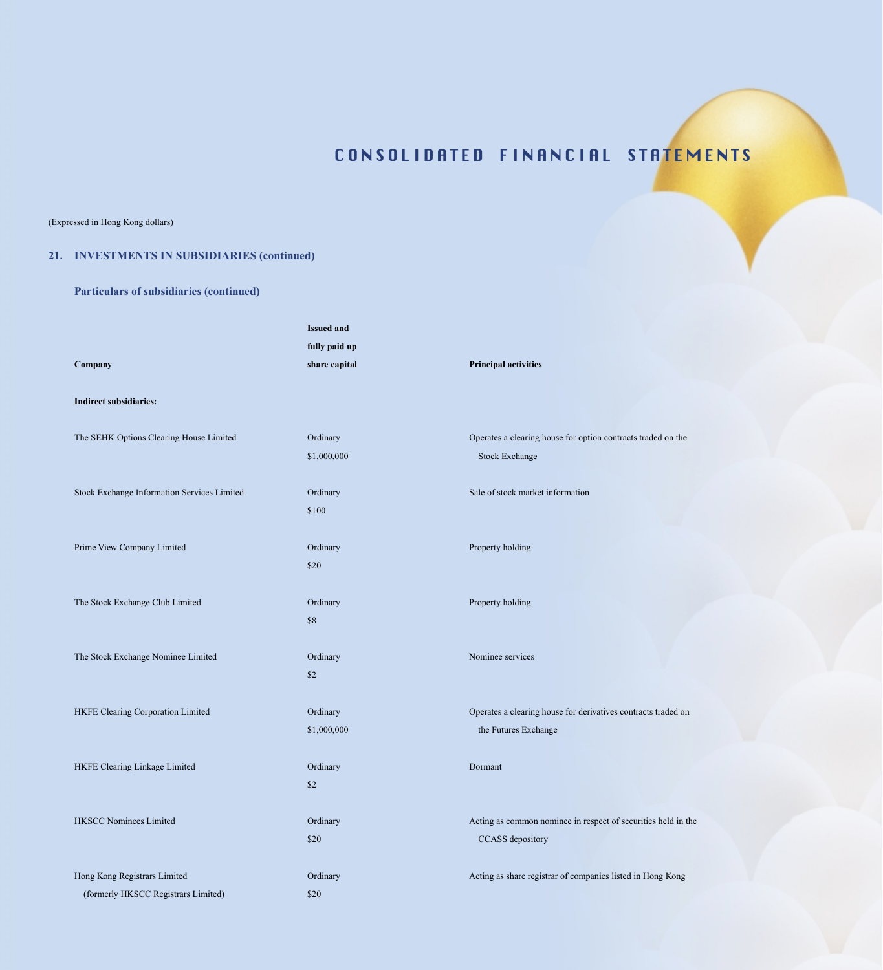### (Expressed in Hong Kong dollars)

## **21. INVESTMENTS IN SUBSIDIARIES (continued)**

## **Particulars of subsidiaries (continued)**

| Company<br><b>Indirect subsidiaries:</b>                            | <b>Issued and</b><br>fully paid up<br>share capital | <b>Principal activities</b>                                                           |
|---------------------------------------------------------------------|-----------------------------------------------------|---------------------------------------------------------------------------------------|
| The SEHK Options Clearing House Limited                             | Ordinary<br>\$1,000,000                             | Operates a clearing house for option contracts traded on the<br><b>Stock Exchange</b> |
| Stock Exchange Information Services Limited                         | Ordinary<br>\$100                                   | Sale of stock market information                                                      |
| Prime View Company Limited                                          | Ordinary<br>\$20                                    | Property holding                                                                      |
| The Stock Exchange Club Limited                                     | Ordinary<br>\$8                                     | Property holding                                                                      |
| The Stock Exchange Nominee Limited                                  | Ordinary<br>\$2                                     | Nominee services                                                                      |
| HKFE Clearing Corporation Limited                                   | Ordinary<br>\$1,000,000                             | Operates a clearing house for derivatives contracts traded on<br>the Futures Exchange |
| HKFE Clearing Linkage Limited                                       | Ordinary<br>\$2                                     | Dormant                                                                               |
| <b>HKSCC Nominees Limited</b>                                       | Ordinary<br>\$20                                    | Acting as common nominee in respect of securities held in the<br>CCASS depository     |
| Hong Kong Registrars Limited<br>(formerly HKSCC Registrars Limited) | Ordinary<br>\$20                                    | Acting as share registrar of companies listed in Hong Kong                            |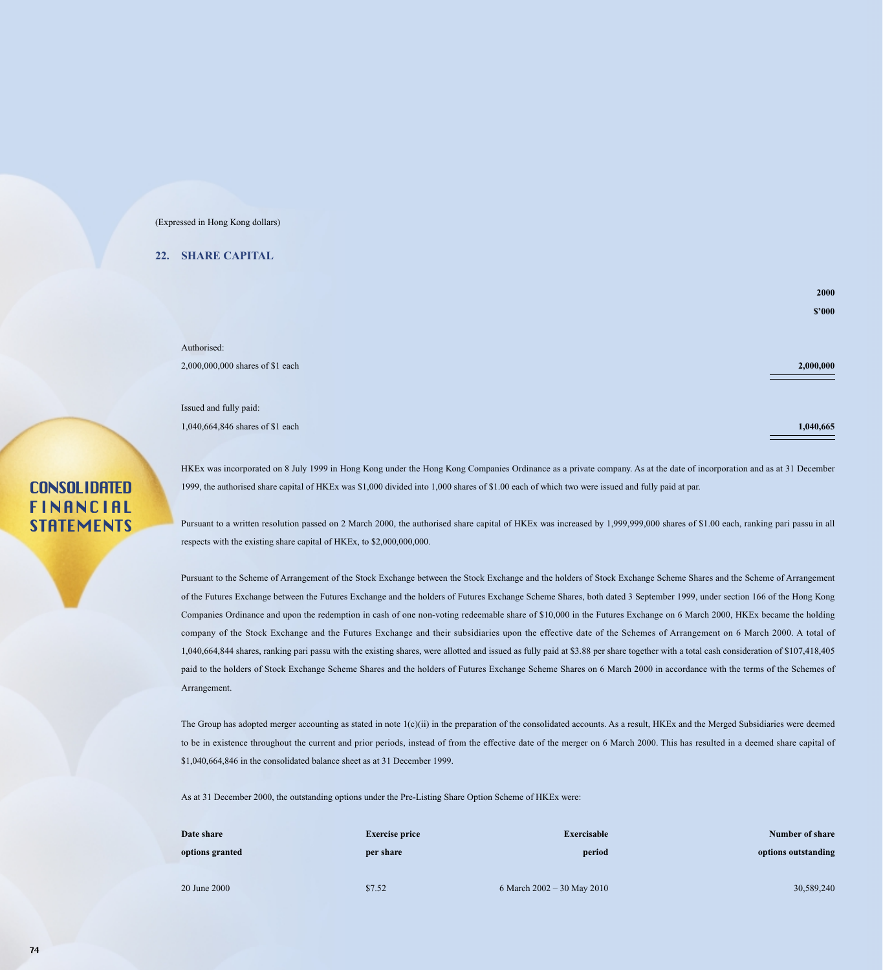### **22. SHARE CAPITAL**

Authorised: 2,000,000,000 shares of \$1 each **2,000,000**

Issued and fully paid: 1,040,664,846 shares of \$1 each **1,040,665**

HKEx was incorporated on 8 July 1999 in Hong Kong under the Hong Kong Companies Ordinance as a private company. As at the date of incorporation and as at 31 December 1999, the authorised share capital of HKEx was \$1,000 divided into 1,000 shares of \$1.00 each of which two were issued and fully paid at par.

Pursuant to a written resolution passed on 2 March 2000, the authorised share capital of HKEx was increased by 1,999,999,000 shares of \$1.00 each, ranking pari passu in all respects with the existing share capital of HKEx, to \$2,000,000,000.

Pursuant to the Scheme of Arrangement of the Stock Exchange between the Stock Exchange and the holders of Stock Exchange Scheme Shares and the Scheme of Arrangement of the Futures Exchange between the Futures Exchange and the holders of Futures Exchange Scheme Shares, both dated 3 September 1999, under section 166 of the Hong Kong Companies Ordinance and upon the redemption in cash of one non-voting redeemable share of \$10,000 in the Futures Exchange on 6 March 2000, HKEx became the holding company of the Stock Exchange and the Futures Exchange and their subsidiaries upon the effective date of the Schemes of Arrangement on 6 March 2000. A total of 1,040,664,844 shares, ranking pari passu with the existing shares, were allotted and issued as fully paid at \$3.88 per share together with a total cash consideration of \$107,418,405 paid to the holders of Stock Exchange Scheme Shares and the holders of Futures Exchange Scheme Shares on 6 March 2000 in accordance with the terms of the Schemes of Arrangement.

The Group has adopted merger accounting as stated in note 1(c)(ii) in the preparation of the consolidated accounts. As a result, HKEx and the Merged Subsidiaries were deemed to be in existence throughout the current and prior periods, instead of from the effective date of the merger on 6 March 2000. This has resulted in a deemed share capital of \$1,040,664,846 in the consolidated balance sheet as at 31 December 1999.

As at 31 December 2000, the outstanding options under the Pre-Listing Share Option Scheme of HKEx were:

| Date share      | <b>Exercise price</b> | Exercisable                    | Number of share     |
|-----------------|-----------------------|--------------------------------|---------------------|
| options granted | per share             | period                         | options outstanding |
|                 |                       |                                |                     |
| 20 June 2000    | \$7.52                | 6 March $2002 - 30$ May $2010$ | 30,589,240          |

## **CONSOLIDATED FINANCIAL STATEMENTS**

**2000 \$'000**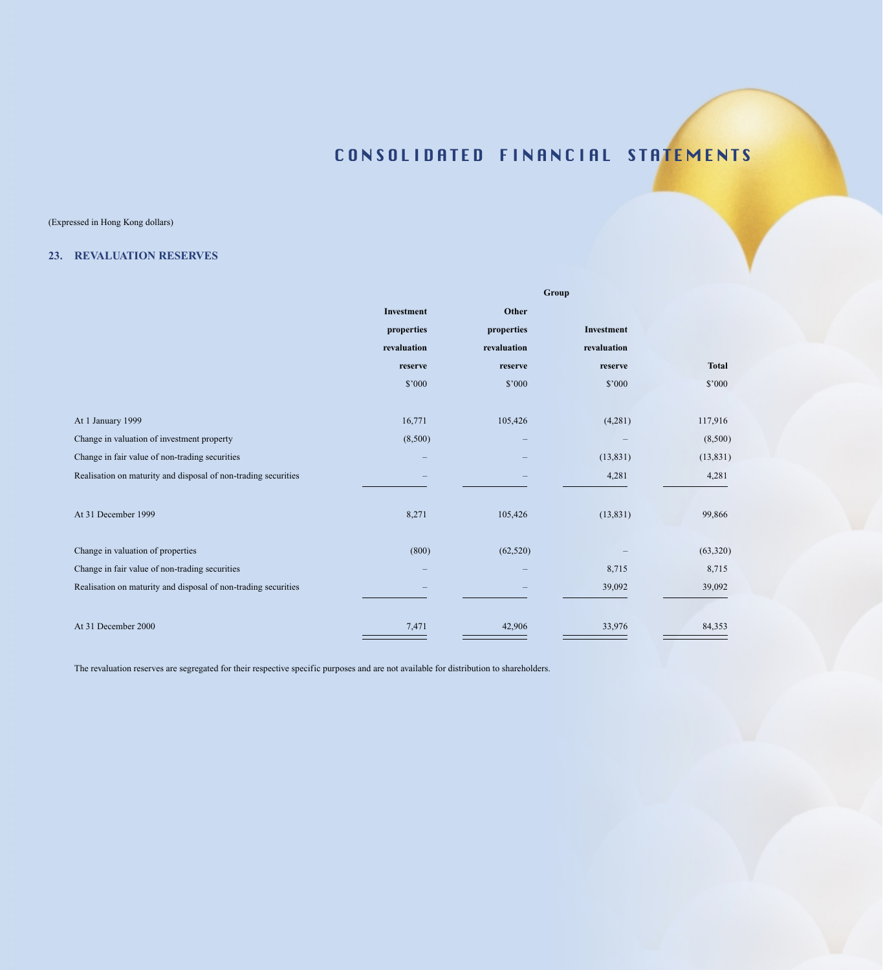## (Expressed in Hong Kong dollars)

### **23. REVALUATION RESERVES**

|                                                                | Group               |             |             |              |  |
|----------------------------------------------------------------|---------------------|-------------|-------------|--------------|--|
|                                                                | Other<br>Investment |             |             |              |  |
|                                                                | properties          | properties  | Investment  |              |  |
|                                                                | revaluation         | revaluation | revaluation |              |  |
|                                                                | reserve             | reserve     | reserve     | <b>Total</b> |  |
|                                                                | \$'000              | \$'000      | \$'000      | \$'000       |  |
|                                                                |                     |             |             |              |  |
| At 1 January 1999                                              | 16,771              | 105,426     | (4,281)     | 117,916      |  |
| Change in valuation of investment property                     | (8,500)             |             |             | (8,500)      |  |
| Change in fair value of non-trading securities                 |                     |             | (13, 831)   | (13, 831)    |  |
| Realisation on maturity and disposal of non-trading securities |                     |             | 4,281       | 4,281        |  |
|                                                                |                     |             |             |              |  |
| At 31 December 1999                                            | 8,271               | 105,426     | (13, 831)   | 99,866       |  |
|                                                                |                     |             |             |              |  |
| Change in valuation of properties                              | (800)               | (62, 520)   |             | (63, 320)    |  |
| Change in fair value of non-trading securities                 |                     |             | 8,715       | 8,715        |  |
| Realisation on maturity and disposal of non-trading securities |                     |             | 39,092      | 39,092       |  |
|                                                                |                     |             |             |              |  |
| At 31 December 2000                                            | 7,471               | 42,906      | 33,976      | 84,353       |  |

The revaluation reserves are segregated for their respective specific purposes and are not available for distribution to shareholders.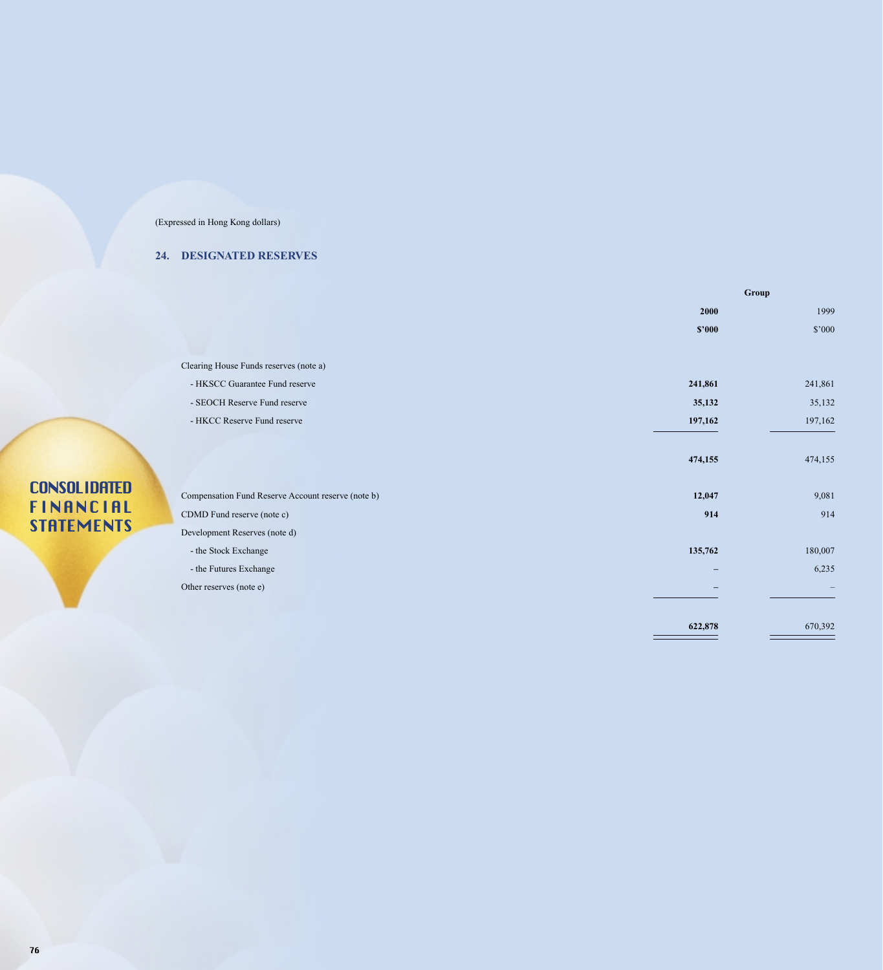## **24. DESIGNATED RESERVES**

|                                                    | Group   |         |  |
|----------------------------------------------------|---------|---------|--|
|                                                    | 2000    | 1999    |  |
|                                                    | \$2000  | \$'000  |  |
|                                                    |         |         |  |
| Clearing House Funds reserves (note a)             |         |         |  |
| - HKSCC Guarantee Fund reserve                     | 241,861 | 241,861 |  |
| - SEOCH Reserve Fund reserve                       | 35,132  | 35,132  |  |
| - HKCC Reserve Fund reserve                        | 197,162 | 197,162 |  |
|                                                    |         |         |  |
|                                                    | 474,155 | 474,155 |  |
|                                                    |         |         |  |
| Compensation Fund Reserve Account reserve (note b) | 12,047  | 9,081   |  |
| CDMD Fund reserve (note c)                         | 914     | 914     |  |
| Development Reserves (note d)                      |         |         |  |
| - the Stock Exchange                               | 135,762 | 180,007 |  |
| - the Futures Exchange                             | -       | 6,235   |  |
| Other reserves (note e)                            |         |         |  |
|                                                    |         |         |  |
|                                                    | 622,878 | 670,392 |  |
|                                                    |         |         |  |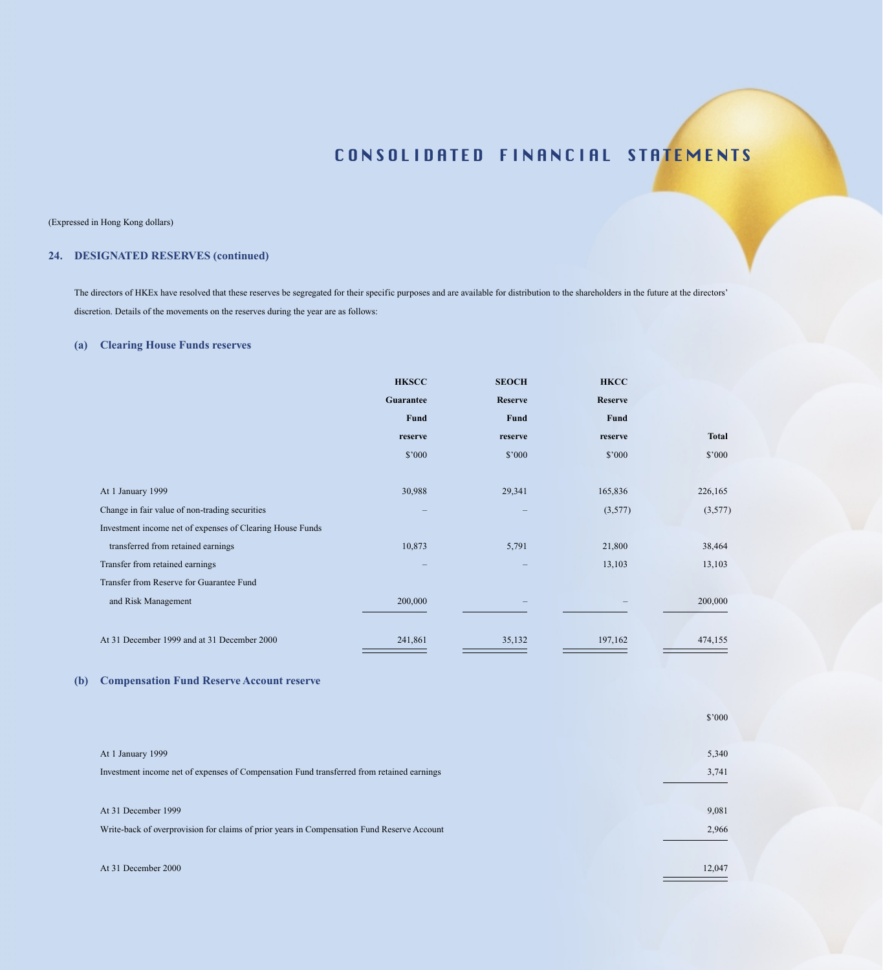#### (Expressed in Hong Kong dollars)

## **24. DESIGNATED RESERVES (continued)**

The directors of HKEx have resolved that these reserves be segregated for their specific purposes and are available for distribution to the shareholders in the future at the directors' discretion. Details of the movements on the reserves during the year are as follows:

### **(a) Clearing House Funds reserves**

|                                                           | <b>HKSCC</b>                    | <b>SEOCH</b>      | <b>HKCC</b>    |              |
|-----------------------------------------------------------|---------------------------------|-------------------|----------------|--------------|
|                                                           | Guarantee                       | Reserve           | <b>Reserve</b> |              |
|                                                           | Fund                            | Fund              | Fund           |              |
|                                                           | reserve                         | reserve           | reserve        | <b>Total</b> |
|                                                           | \$'000                          | \$'000            | \$'000         | \$'000       |
|                                                           |                                 |                   |                |              |
| At 1 January 1999                                         | 30,988                          | 29,341            | 165,836        | 226,165      |
| Change in fair value of non-trading securities            | $\qquad \qquad - \qquad \qquad$ | $\qquad \qquad -$ | (3,577)        | (3,577)      |
| Investment income net of expenses of Clearing House Funds |                                 |                   |                |              |
| transferred from retained earnings                        | 10,873                          | 5,791             | 21,800         | 38,464       |
| Transfer from retained earnings                           |                                 |                   | 13,103         | 13,103       |
| Transfer from Reserve for Guarantee Fund                  |                                 |                   |                |              |
| and Risk Management                                       | 200,000                         |                   |                | 200,000      |
|                                                           |                                 |                   |                |              |
| At 31 December 1999 and at 31 December 2000               | 241,861                         | 35,132            | 197,162        | 474,155      |

### **(b) Compensation Fund Reserve Account reserve**

|                                                                                            | \$'000 |
|--------------------------------------------------------------------------------------------|--------|
|                                                                                            |        |
| At 1 January 1999                                                                          | 5,340  |
| Investment income net of expenses of Compensation Fund transferred from retained earnings  | 3,741  |
|                                                                                            |        |
| At 31 December 1999                                                                        | 9,081  |
| Write-back of overprovision for claims of prior years in Compensation Fund Reserve Account | 2,966  |
|                                                                                            |        |
| At 31 December 2000                                                                        | 12,047 |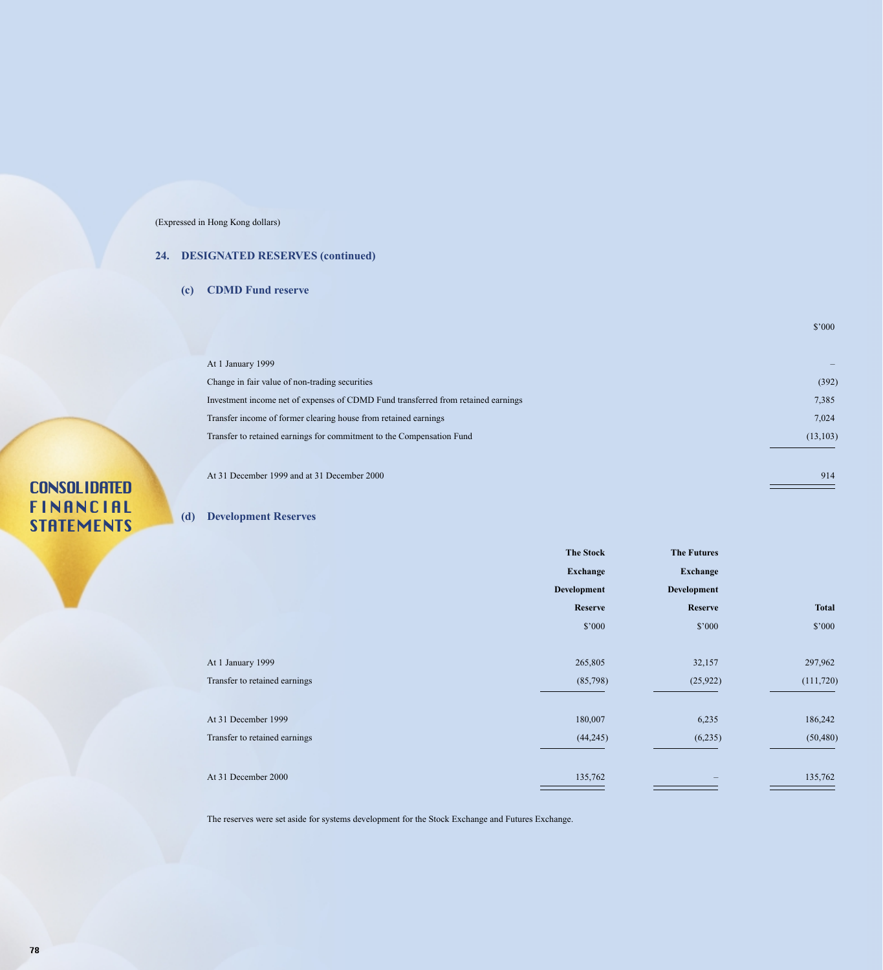## **24. DESIGNATED RESERVES (continued)**

**(c) CDMD Fund reserve**

| At 1 January 1999                                                                 |           |
|-----------------------------------------------------------------------------------|-----------|
| Change in fair value of non-trading securities                                    | (392)     |
| Investment income net of expenses of CDMD Fund transferred from retained earnings | 7,385     |
| Transfer income of former clearing house from retained earnings                   | 7,024     |
| Transfer to retained earnings for commitment to the Compensation Fund             | (13, 103) |
|                                                                                   |           |

At 31 December 1999 and at 31 December 2000 914

\$'000

# **CONSOLIDATED** FINANCIAL STATEMENTS

### **(d) Development Reserves**

|                               | <b>The Stock</b> | <b>The Futures</b> |              |
|-------------------------------|------------------|--------------------|--------------|
|                               | Exchange         | Exchange           |              |
|                               | Development      | Development        |              |
|                               | <b>Reserve</b>   | Reserve            | <b>Total</b> |
|                               | \$'000           | \$'000             | \$'000       |
| At 1 January 1999             | 265,805          | 32,157             | 297,962      |
| Transfer to retained earnings | (85,798)         | (25, 922)          | (111, 720)   |
| At 31 December 1999           | 180,007          | 6,235              | 186,242      |
| Transfer to retained earnings | (44,245)         | (6,235)            | (50, 480)    |
| At 31 December 2000           | 135,762          |                    | 135,762      |

The reserves were set aside for systems development for the Stock Exchange and Futures Exchange.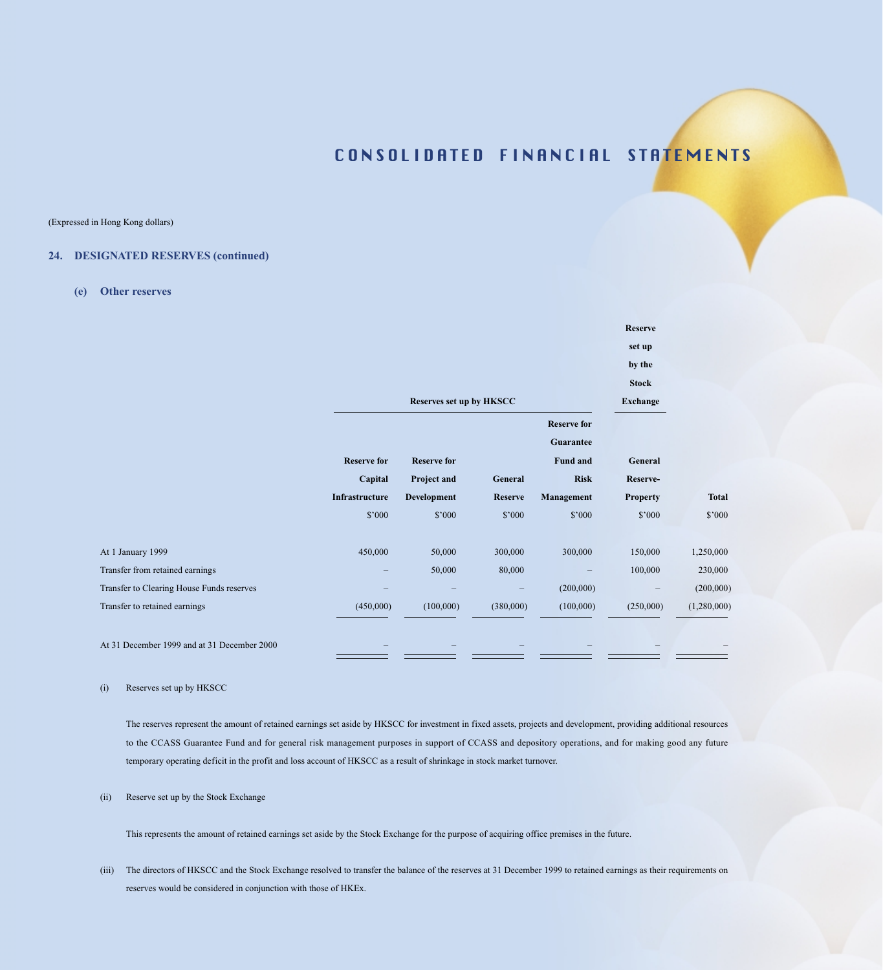(Expressed in Hong Kong dollars)

### **24. DESIGNATED RESERVES (continued)**

**(e) Other reserves**

|                                             |                           | Reserves set up by HKSCC   |                           |                                             | <b>Reserve</b><br>set up<br>by the<br><b>Stock</b><br><b>Exchange</b> |              |
|---------------------------------------------|---------------------------|----------------------------|---------------------------|---------------------------------------------|-----------------------------------------------------------------------|--------------|
|                                             | <b>Reserve for</b>        | <b>Reserve for</b>         |                           | <b>Reserve for</b><br>Guarantee<br>Fund and | General                                                               |              |
|                                             | Capital<br>Infrastructure | Project and<br>Development | General<br><b>Reserve</b> | <b>Risk</b><br>Management                   | Reserve-<br><b>Property</b>                                           | <b>Total</b> |
|                                             | \$'000                    | \$'000                     | \$'000                    | \$'000                                      | \$'000                                                                | \$'000       |
| At 1 January 1999                           | 450,000                   | 50,000                     | 300,000                   | 300,000                                     | 150,000                                                               | 1,250,000    |
| Transfer from retained earnings             |                           | 50,000                     | 80,000                    |                                             | 100,000                                                               | 230,000      |
| Transfer to Clearing House Funds reserves   |                           |                            |                           | (200,000)                                   |                                                                       | (200,000)    |
| Transfer to retained earnings               | (450,000)                 | (100,000)                  | (380,000)                 | (100,000)                                   | (250,000)                                                             | (1,280,000)  |
| At 31 December 1999 and at 31 December 2000 |                           |                            |                           |                                             |                                                                       |              |

#### (i) Reserves set up by HKSCC

The reserves represent the amount of retained earnings set aside by HKSCC for investment in fixed assets, projects and development, providing additional resources to the CCASS Guarantee Fund and for general risk management purposes in support of CCASS and depository operations, and for making good any future temporary operating deficit in the profit and loss account of HKSCC as a result of shrinkage in stock market turnover.

#### (ii) Reserve set up by the Stock Exchange

This represents the amount of retained earnings set aside by the Stock Exchange for the purpose of acquiring office premises in the future.

(iii) The directors of HKSCC and the Stock Exchange resolved to transfer the balance of the reserves at 31 December 1999 to retained earnings as their requirements on reserves would be considered in conjunction with those of HKEx.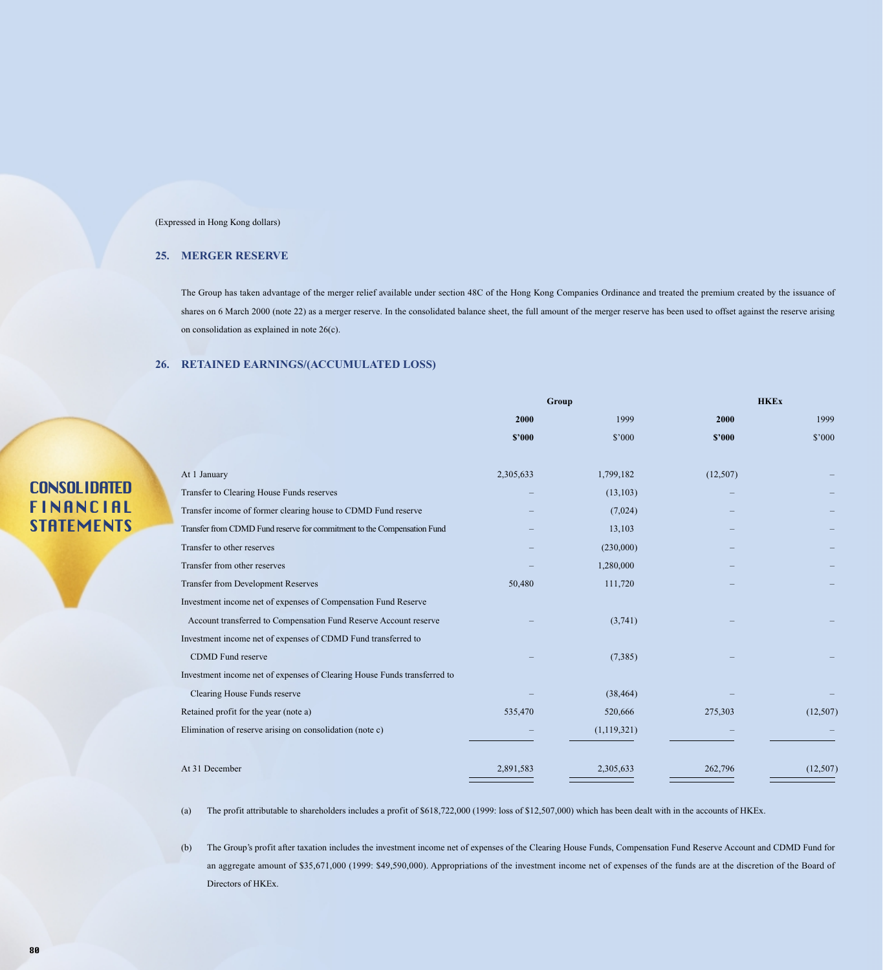### **25. MERGER RESERVE**

The Group has taken advantage of the merger relief available under section 48C of the Hong Kong Companies Ordinance and treated the premium created by the issuance of shares on 6 March 2000 (note 22) as a merger reserve. In the consolidated balance sheet, the full amount of the merger reserve has been used to offset against the reserve arising on consolidation as explained in note 26(c).

### **26. RETAINED EARNINGS/(ACCUMULATED LOSS)**

| <b>CONSOLIDATED</b> |  |
|---------------------|--|
| FINANCIAL           |  |
| <b>STATEMENTS</b>   |  |

|                                                                          | Group     |               | <b>HKEx</b> |                |
|--------------------------------------------------------------------------|-----------|---------------|-------------|----------------|
|                                                                          | 2000      | 1999          | 2000        | 1999           |
|                                                                          | \$2000    | \$'000        | \$2000      | $$^{\circ}000$ |
|                                                                          |           |               |             |                |
| At 1 January                                                             | 2,305,633 | 1,799,182     | (12,507)    |                |
| Transfer to Clearing House Funds reserves                                |           | (13, 103)     |             |                |
| Transfer income of former clearing house to CDMD Fund reserve            |           | (7,024)       |             |                |
| Transfer from CDMD Fund reserve for commitment to the Compensation Fund  |           | 13,103        |             |                |
| Transfer to other reserves                                               |           | (230,000)     |             |                |
| Transfer from other reserves                                             |           | 1,280,000     |             |                |
| Transfer from Development Reserves                                       | 50,480    | 111,720       |             |                |
| Investment income net of expenses of Compensation Fund Reserve           |           |               |             |                |
| Account transferred to Compensation Fund Reserve Account reserve         |           | (3,741)       |             |                |
| Investment income net of expenses of CDMD Fund transferred to            |           |               |             |                |
| CDMD Fund reserve                                                        |           | (7,385)       |             |                |
| Investment income net of expenses of Clearing House Funds transferred to |           |               |             |                |
| Clearing House Funds reserve                                             |           | (38, 464)     |             |                |
| Retained profit for the year (note a)                                    | 535,470   | 520,666       | 275,303     | (12,507)       |
| Elimination of reserve arising on consolidation (note c)                 |           | (1, 119, 321) |             |                |
|                                                                          |           |               |             |                |
| At 31 December                                                           | 2,891,583 | 2,305,633     | 262,796     | (12,507)       |

(a) The profit attributable to shareholders includes a profit of \$618,722,000 (1999: loss of \$12,507,000) which has been dealt with in the accounts of HKEx.

(b) The Group's profit after taxation includes the investment income net of expenses of the Clearing House Funds, Compensation Fund Reserve Account and CDMD Fund for an aggregate amount of \$35,671,000 (1999: \$49,590,000). Appropriations of the investment income net of expenses of the funds are at the discretion of the Board of Directors of HKEx.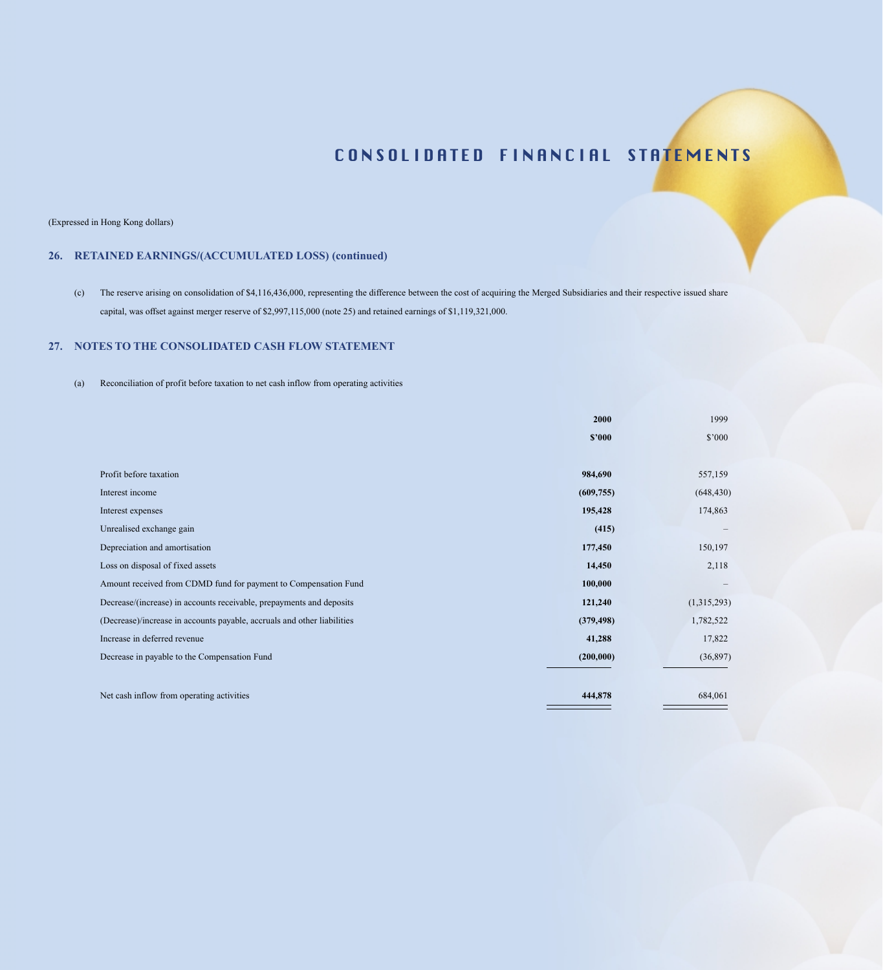(Expressed in Hong Kong dollars)

## **26. RETAINED EARNINGS/(ACCUMULATED LOSS) (continued)**

(c) The reserve arising on consolidation of \$4,116,436,000, representing the difference between the cost of acquiring the Merged Subsidiaries and their respective issued share capital, was offset against merger reserve of \$2,997,115,000 (note 25) and retained earnings of \$1,119,321,000.

### **27. NOTES TO THE CONSOLIDATED CASH FLOW STATEMENT**

(a) Reconciliation of profit before taxation to net cash inflow from operating activities

|                                                                         | 2000       | 1999        |
|-------------------------------------------------------------------------|------------|-------------|
|                                                                         | \$2000     | \$'000      |
|                                                                         |            |             |
| Profit before taxation                                                  | 984,690    | 557,159     |
| Interest income                                                         | (609, 755) | (648, 430)  |
| Interest expenses                                                       | 195,428    | 174,863     |
| Unrealised exchange gain                                                | (415)      |             |
| Depreciation and amortisation                                           | 177,450    | 150,197     |
| Loss on disposal of fixed assets                                        | 14,450     | 2,118       |
| Amount received from CDMD fund for payment to Compensation Fund         | 100,000    |             |
| Decrease/(increase) in accounts receivable, prepayments and deposits    | 121,240    | (1,315,293) |
| (Decrease)/increase in accounts payable, accruals and other liabilities | (379, 498) | 1,782,522   |
| Increase in deferred revenue                                            | 41,288     | 17,822      |
| Decrease in payable to the Compensation Fund                            | (200,000)  | (36,897)    |
|                                                                         |            |             |
| Net cash inflow from operating activities                               | 444,878    | 684,061     |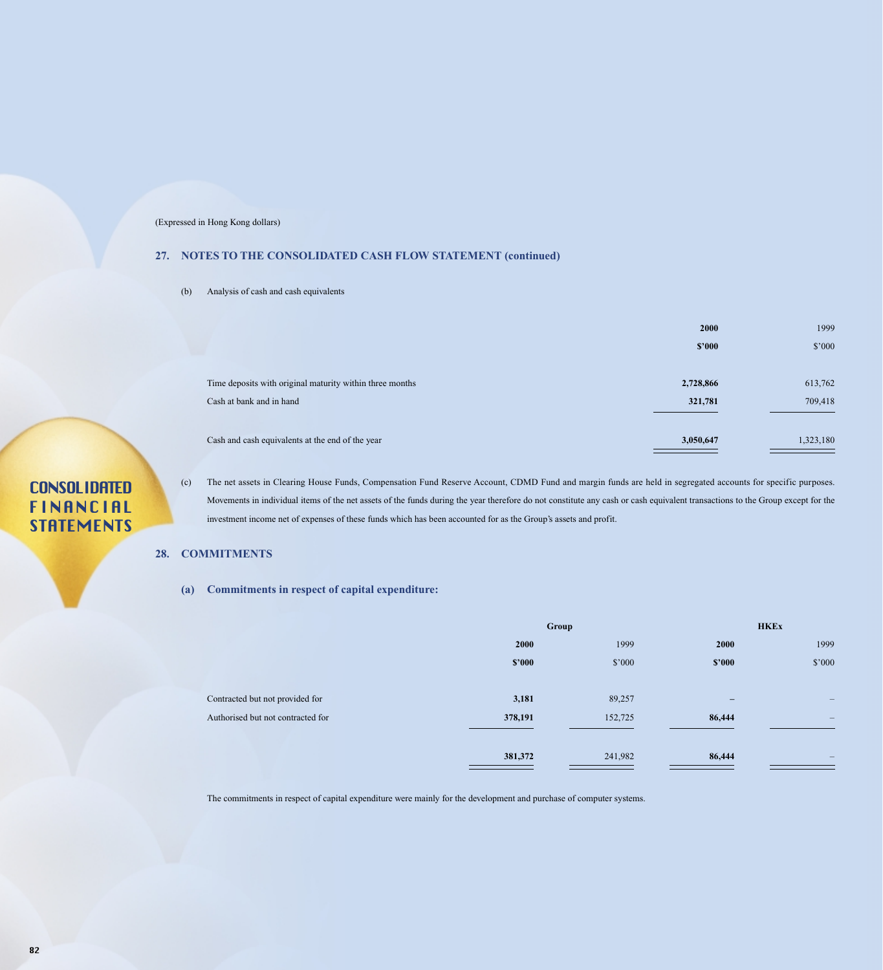### **27. NOTES TO THE CONSOLIDATED CASH FLOW STATEMENT (continued)**

(b) Analysis of cash and cash equivalents

|                                                          | 2000      | 1999      |
|----------------------------------------------------------|-----------|-----------|
|                                                          | \$2000    | \$'000    |
|                                                          |           |           |
| Time deposits with original maturity within three months | 2,728,866 | 613,762   |
| Cash at bank and in hand                                 | 321,781   | 709,418   |
|                                                          |           |           |
| Cash and cash equivalents at the end of the year         | 3,050,647 | 1,323,180 |

# **CONSOLIDATED** FINANCIAL **STATEMENTS**

(c) The net assets in Clearing House Funds, Compensation Fund Reserve Account, CDMD Fund and margin funds are held in segregated accounts for specific purposes. Movements in individual items of the net assets of the funds during the year therefore do not constitute any cash or cash equivalent transactions to the Group except for the investment income net of expenses of these funds which has been accounted for as the Group's assets and profit.

### **28. COMMITMENTS**

#### **(a) Commitments in respect of capital expenditure:**

|                                   | Group   |         | <b>HKEx</b>       |                              |
|-----------------------------------|---------|---------|-------------------|------------------------------|
|                                   | 2000    | 1999    | 2000              | 1999                         |
|                                   | \$2000  | \$'000  | \$2000            | \$'000                       |
| Contracted but not provided for   | 3,181   | 89,257  | $\qquad \qquad -$ | $\qquad \qquad \blacksquare$ |
| Authorised but not contracted for | 378,191 | 152,725 | 86,444            | $\overline{\phantom{m}}$     |
|                                   | 381,372 | 241,982 | 86,444            | —                            |

The commitments in respect of capital expenditure were mainly for the development and purchase of computer systems.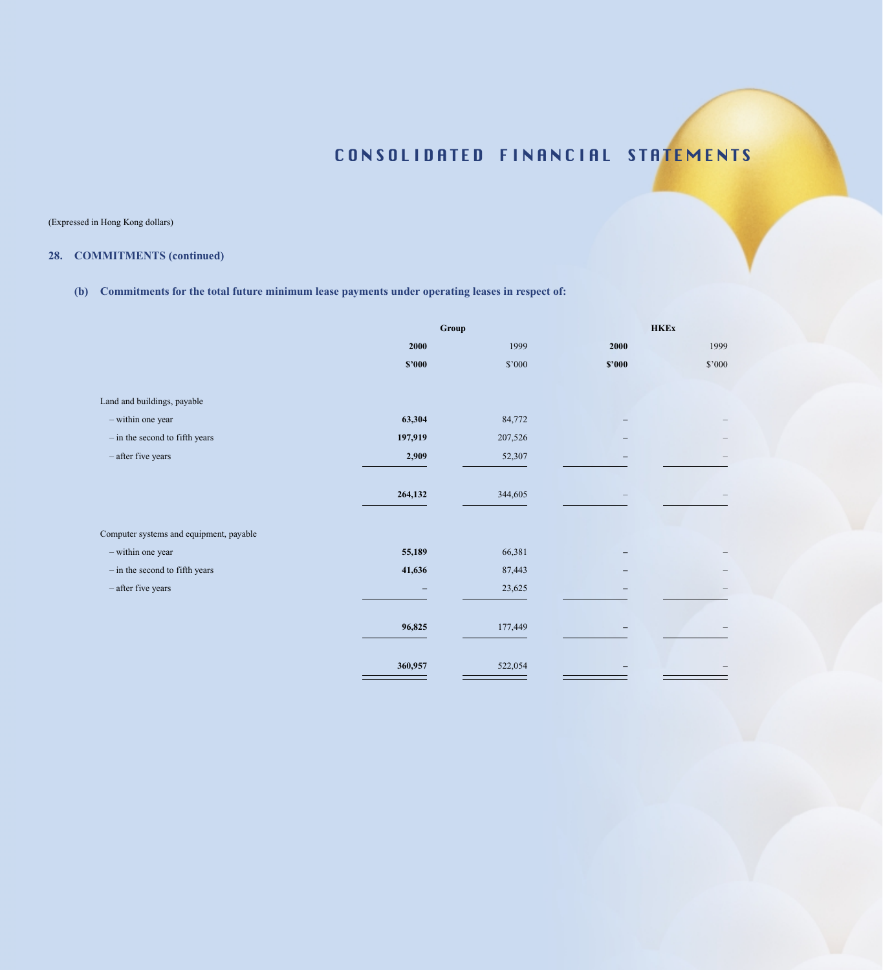(Expressed in Hong Kong dollars)

## **28. COMMITMENTS (continued)**

## **(b) Commitments for the total future minimum lease payments under operating leases in respect of:**

|                                         | Group   |          | <b>HKEx</b> |          |
|-----------------------------------------|---------|----------|-------------|----------|
|                                         | 2000    | 1999     | 2000        | 1999     |
|                                         | \$'000  | $\$'000$ | \$'000      | $\$'000$ |
|                                         |         |          |             |          |
| Land and buildings, payable             |         |          |             |          |
| - within one year                       | 63,304  | 84,772   |             |          |
| $-$ in the second to fifth years        | 197,919 | 207,526  |             |          |
| $-$ after five years                    | 2,909   | 52,307   |             |          |
|                                         | 264,132 | 344,605  |             |          |
| Computer systems and equipment, payable |         |          |             |          |
| - within one year                       | 55,189  | 66,381   |             |          |
| $-$ in the second to fifth years        | 41,636  | 87,443   |             |          |
| - after five years                      |         | 23,625   |             |          |
|                                         | 96,825  | 177,449  |             |          |
|                                         | 360,957 | 522,054  |             |          |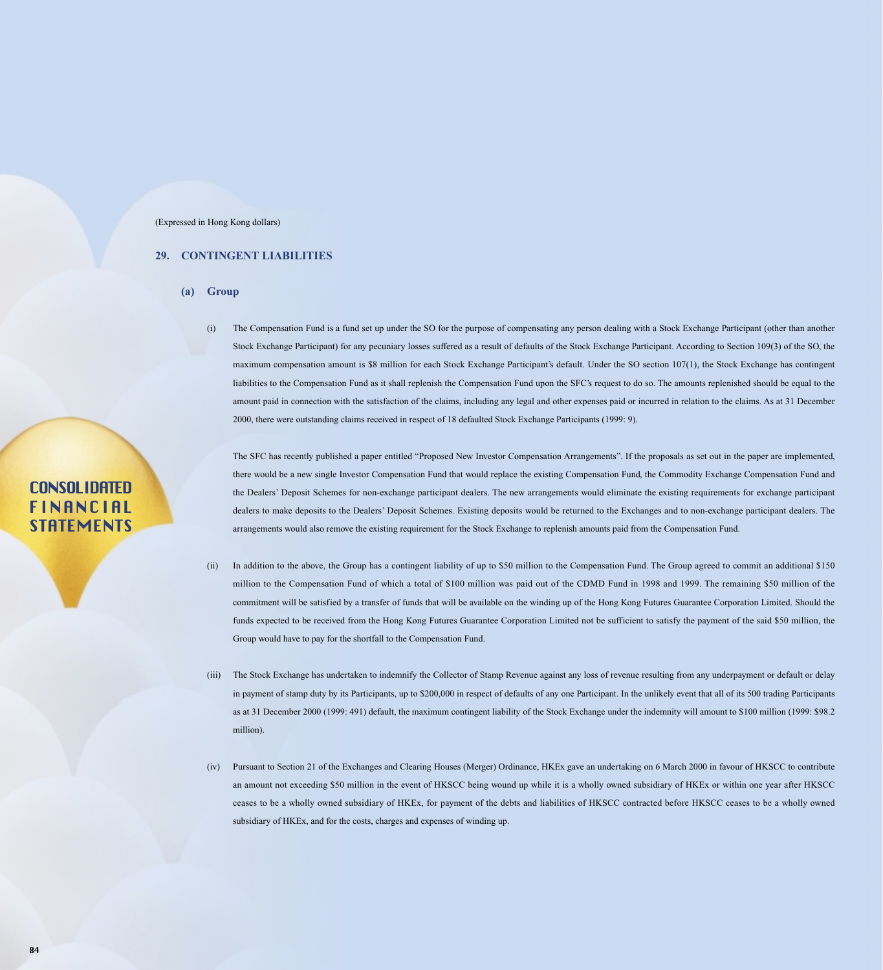### **29. CONTINGENT LIABILITIES**

- **(a) Group**
	- (i) The Compensation Fund is a fund set up under the SO for the purpose of compensating any person dealing with a Stock Exchange Participant (other than another Stock Exchange Participant) for any pecuniary losses suffered as a result of defaults of the Stock Exchange Participant. According to Section 109(3) of the SO, the maximum compensation amount is \$8 million for each Stock Exchange Participant's default. Under the SO section 107(1), the Stock Exchange has contingent liabilities to the Compensation Fund as it shall replenish the Compensation Fund upon the SFC's request to do so. The amounts replenished should be equal to the amount paid in connection with the satisfaction of the claims, including any legal and other expenses paid or incurred in relation to the claims. As at 31 December 2000, there were outstanding claims received in respect of 18 defaulted Stock Exchange Participants (1999: 9).

The SFC has recently published a paper entitled "Proposed New Investor Compensation Arrangements". If the proposals as set out in the paper are implemented, there would be a new single Investor Compensation Fund that would replace the existing Compensation Fund, the Commodity Exchange Compensation Fund and the Dealers' Deposit Schemes for non-exchange participant dealers. The new arrangements would eliminate the existing requirements for exchange participant dealers to make deposits to the Dealers' Deposit Schemes. Existing deposits would be returned to the Exchanges and to non-exchange participant dealers. The arrangements would also remove the existing requirement for the Stock Exchange to replenish amounts paid from the Compensation Fund.

- (ii) In addition to the above, the Group has a contingent liability of up to \$50 million to the Compensation Fund. The Group agreed to commit an additional \$150 million to the Compensation Fund of which a total of \$100 million was paid out of the CDMD Fund in 1998 and 1999. The remaining \$50 million of the commitment will be satisfied by a transfer of funds that will be available on the winding up of the Hong Kong Futures Guarantee Corporation Limited. Should the funds expected to be received from the Hong Kong Futures Guarantee Corporation Limited not be sufficient to satisfy the payment of the said \$50 million, the Group would have to pay for the shortfall to the Compensation Fund.
- (iii) The Stock Exchange has undertaken to indemnify the Collector of Stamp Revenue against any loss of revenue resulting from any underpayment or default or delay in payment of stamp duty by its Participants, up to \$200,000 in respect of defaults of any one Participant. In the unlikely event that all of its 500 trading Participants as at 31 December 2000 (1999: 491) default, the maximum contingent liability of the Stock Exchange under the indemnity will amount to \$100 million (1999: \$98.2 million).
- (iv) Pursuant to Section 21 of the Exchanges and Clearing Houses (Merger) Ordinance, HKEx gave an undertaking on 6 March 2000 in favour of HKSCC to contribute an amount not exceeding \$50 million in the event of HKSCC being wound up while it is a wholly owned subsidiary of HKEx or within one year after HKSCC ceases to be a wholly owned subsidiary of HKEx, for payment of the debts and liabilities of HKSCC contracted before HKSCC ceases to be a wholly owned subsidiary of HKEx, and for the costs, charges and expenses of winding up.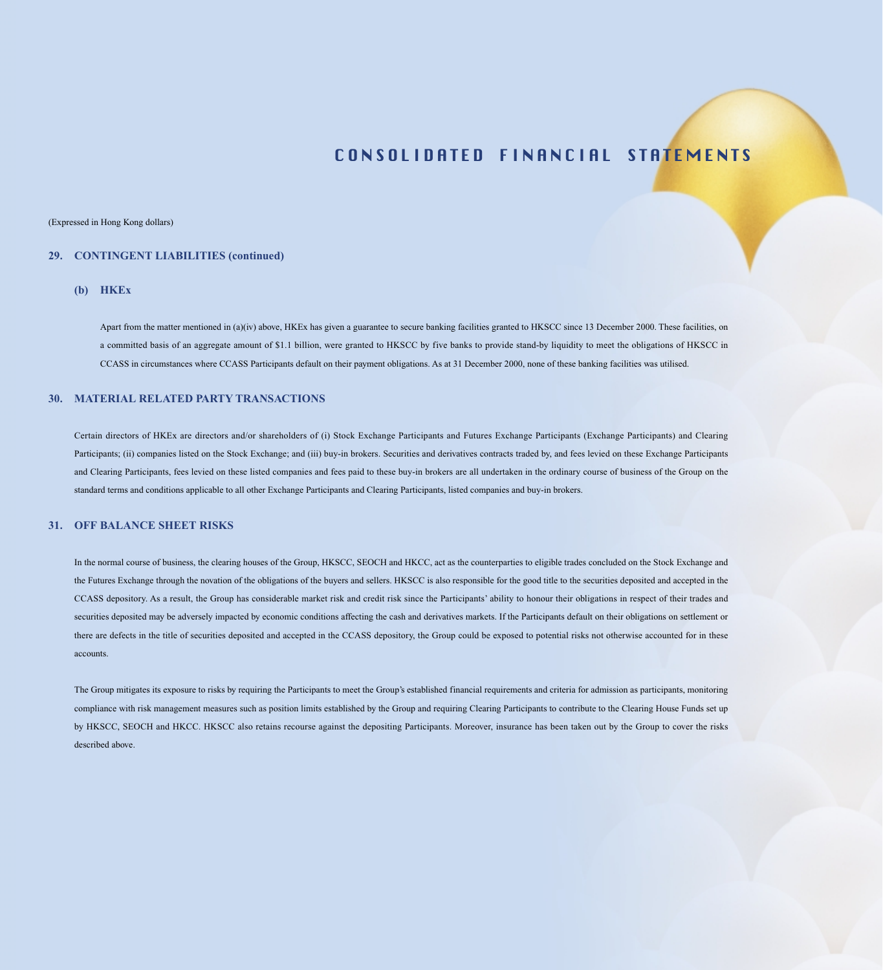#### (Expressed in Hong Kong dollars)

### **29. CONTINGENT LIABILITIES (continued)**

#### **(b) HKEx**

Apart from the matter mentioned in (a)(iv) above, HKEx has given a guarantee to secure banking facilities granted to HKSCC since 13 December 2000. These facilities, on a committed basis of an aggregate amount of \$1.1 billion, were granted to HKSCC by five banks to provide stand-by liquidity to meet the obligations of HKSCC in CCASS in circumstances where CCASS Participants default on their payment obligations. As at 31 December 2000, none of these banking facilities was utilised.

#### **30. MATERIAL RELATED PARTY TRANSACTIONS**

Certain directors of HKEx are directors and/or shareholders of (i) Stock Exchange Participants and Futures Exchange Participants (Exchange Participants) and Clearing Participants; (ii) companies listed on the Stock Exchange; and (iii) buy-in brokers. Securities and derivatives contracts traded by, and fees levied on these Exchange Participants and Clearing Participants, fees levied on these listed companies and fees paid to these buy-in brokers are all undertaken in the ordinary course of business of the Group on the standard terms and conditions applicable to all other Exchange Participants and Clearing Participants, listed companies and buy-in brokers.

#### **31. OFF BALANCE SHEET RISKS**

In the normal course of business, the clearing houses of the Group, HKSCC, SEOCH and HKCC, act as the counterparties to eligible trades concluded on the Stock Exchange and the Futures Exchange through the novation of the obligations of the buyers and sellers. HKSCC is also responsible for the good title to the securities deposited and accepted in the CCASS depository. As a result, the Group has considerable market risk and credit risk since the Participants' ability to honour their obligations in respect of their trades and securities deposited may be adversely impacted by economic conditions affecting the cash and derivatives markets. If the Participants default on their obligations on settlement or there are defects in the title of securities deposited and accepted in the CCASS depository, the Group could be exposed to potential risks not otherwise accounted for in these accounts.

The Group mitigates its exposure to risks by requiring the Participants to meet the Group's established financial requirements and criteria for admission as participants, monitoring compliance with risk management measures such as position limits established by the Group and requiring Clearing Participants to contribute to the Clearing House Funds set up by HKSCC, SEOCH and HKCC. HKSCC also retains recourse against the depositing Participants. Moreover, insurance has been taken out by the Group to cover the risks described above.